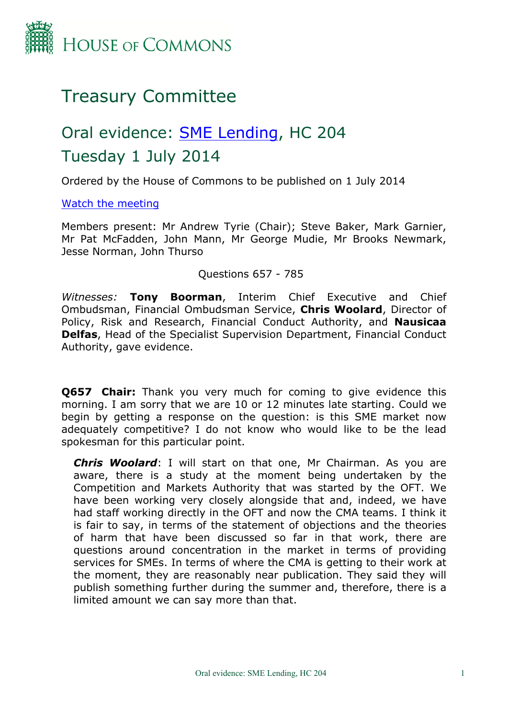

## Treasury Committee

# Oral evidence: [SME](http://www.parliament.uk/business/committees/committees-a-z/commons-select/treasury-committee/inquiries1/parliament-2010/sme-lending/) [Lending](http://www.parliament.uk/business/committees/committees-a-z/commons-select/treasury-committee/inquiries1/parliament-2010/sme-lending/), HC 204 Tuesday 1 July 2014

Ordered by the House of Commons to be published on 1 July 2014

[Watch](http://www.parliamentlive.tv/Main/Player.aspx?meetingId=15656) [the](http://www.parliamentlive.tv/Main/Player.aspx?meetingId=15656) [meeting](http://www.parliamentlive.tv/Main/Player.aspx?meetingId=15656)

Members present: Mr Andrew Tyrie (Chair); Steve Baker, Mark Garnier, Mr Pat McFadden, John Mann, Mr George Mudie, Mr Brooks Newmark, Jesse Norman, John Thurso

Questions 657 - 785

*Witnesses:* **Tony Boorman**, Interim Chief Executive and Chief Ombudsman, Financial Ombudsman Service, **Chris Woolard**, Director of Policy, Risk and Research, Financial Conduct Authority, and **Nausicaa Delfas**, Head of the Specialist Supervision Department, Financial Conduct Authority, gave evidence.

**Q657 Chair:** Thank you very much for coming to give evidence this morning. I am sorry that we are 10 or 12 minutes late starting. Could we begin by getting a response on the question: is this SME market now adequately competitive? I do not know who would like to be the lead spokesman for this particular point.

*Chris Woolard*: I will start on that one, Mr Chairman. As you are aware, there is a study at the moment being undertaken by the Competition and Markets Authority that was started by the OFT. We have been working very closely alongside that and, indeed, we have had staff working directly in the OFT and now the CMA teams. I think it is fair to say, in terms of the statement of objections and the theories of harm that have been discussed so far in that work, there are questions around concentration in the market in terms of providing services for SMEs. In terms of where the CMA is getting to their work at the moment, they are reasonably near publication. They said they will publish something further during the summer and, therefore, there is a limited amount we can say more than that.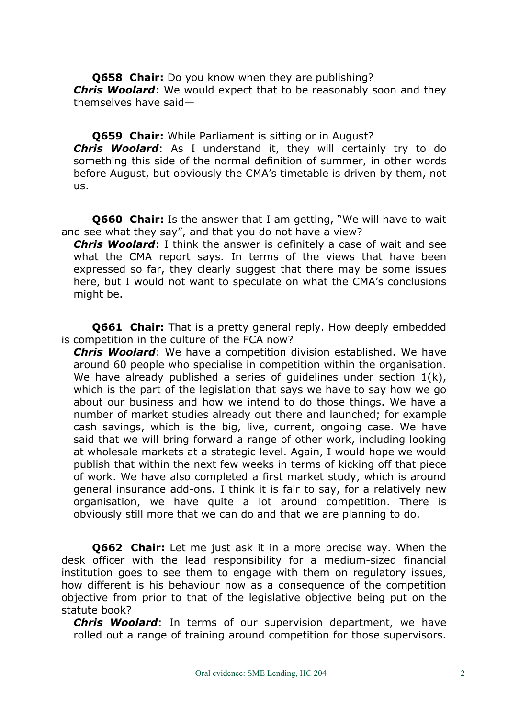**Q658 Chair:** Do you know when they are publishing? *Chris Woolard*: We would expect that to be reasonably soon and they themselves have said—

**Q659 Chair:** While Parliament is sitting or in August? *Chris Woolard*: As I understand it, they will certainly try to do something this side of the normal definition of summer, in other words before August, but obviously the CMA's timetable is driven by them, not us.

**Q660 Chair:** Is the answer that I am getting, "We will have to wait and see what they say", and that you do not have a view?

*Chris Woolard*: I think the answer is definitely a case of wait and see what the CMA report says. In terms of the views that have been expressed so far, they clearly suggest that there may be some issues here, but I would not want to speculate on what the CMA's conclusions might be.

**Q661 Chair:** That is a pretty general reply. How deeply embedded is competition in the culture of the FCA now?

*Chris Woolard*: We have a competition division established. We have around 60 people who specialise in competition within the organisation. We have already published a series of guidelines under section  $1(k)$ , which is the part of the legislation that says we have to say how we go about our business and how we intend to do those things. We have a number of market studies already out there and launched; for example cash savings, which is the big, live, current, ongoing case. We have said that we will bring forward a range of other work, including looking at wholesale markets at a strategic level. Again, I would hope we would publish that within the next few weeks in terms of kicking off that piece of work. We have also completed a first market study, which is around general insurance add-ons. I think it is fair to say, for a relatively new organisation, we have quite a lot around competition. There is obviously still more that we can do and that we are planning to do.

**Q662 Chair:** Let me just ask it in a more precise way. When the desk officer with the lead responsibility for a medium-sized financial institution goes to see them to engage with them on regulatory issues, how different is his behaviour now as a consequence of the competition objective from prior to that of the legislative objective being put on the statute book?

*Chris Woolard*: In terms of our supervision department, we have rolled out a range of training around competition for those supervisors.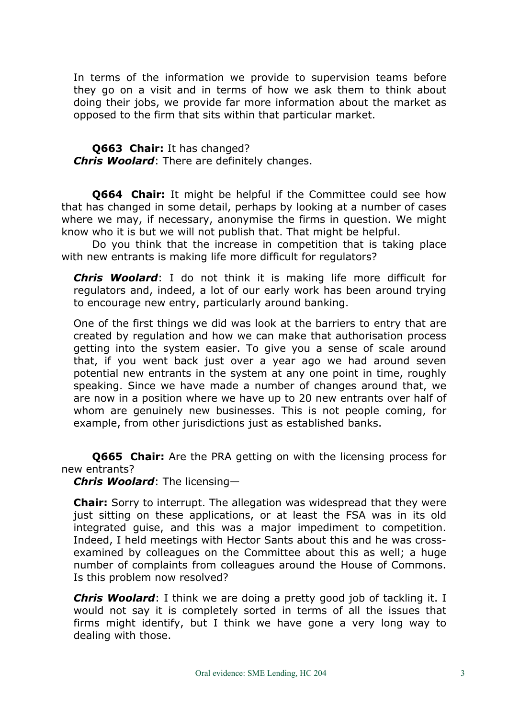In terms of the information we provide to supervision teams before they go on a visit and in terms of how we ask them to think about doing their jobs, we provide far more information about the market as opposed to the firm that sits within that particular market.

**Q663 Chair:** It has changed? *Chris Woolard*: There are definitely changes.

**Q664 Chair:** It might be helpful if the Committee could see how that has changed in some detail, perhaps by looking at a number of cases where we may, if necessary, anonymise the firms in question. We might know who it is but we will not publish that. That might be helpful.

Do you think that the increase in competition that is taking place with new entrants is making life more difficult for regulators?

*Chris Woolard*: I do not think it is making life more difficult for regulators and, indeed, a lot of our early work has been around trying to encourage new entry, particularly around banking.

One of the first things we did was look at the barriers to entry that are created by regulation and how we can make that authorisation process getting into the system easier. To give you a sense of scale around that, if you went back just over a year ago we had around seven potential new entrants in the system at any one point in time, roughly speaking. Since we have made a number of changes around that, we are now in a position where we have up to 20 new entrants over half of whom are genuinely new businesses. This is not people coming, for example, from other jurisdictions just as established banks.

**Q665 Chair:** Are the PRA getting on with the licensing process for new entrants?

*Chris Woolard*: The licensing—

**Chair:** Sorry to interrupt. The allegation was widespread that they were just sitting on these applications, or at least the FSA was in its old integrated guise, and this was a major impediment to competition. Indeed, I held meetings with Hector Sants about this and he was crossexamined by colleagues on the Committee about this as well; a huge number of complaints from colleagues around the House of Commons. Is this problem now resolved?

*Chris Woolard*: I think we are doing a pretty good job of tackling it. I would not say it is completely sorted in terms of all the issues that firms might identify, but I think we have gone a very long way to dealing with those.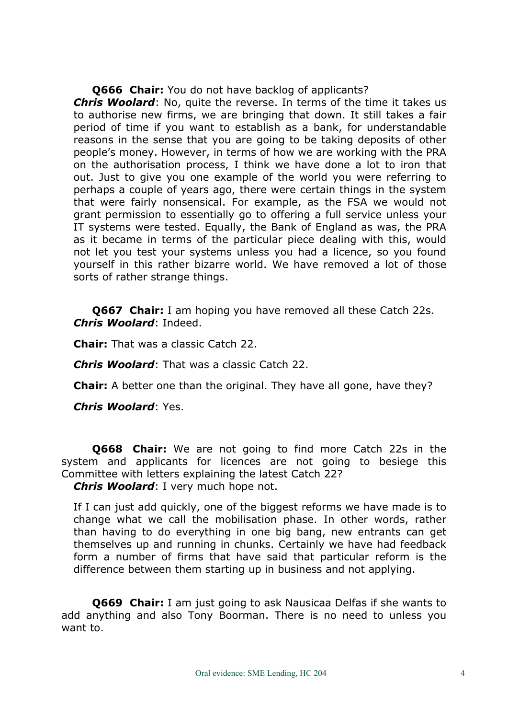**Q666 Chair:** You do not have backlog of applicants?

*Chris Woolard*: No, quite the reverse. In terms of the time it takes us to authorise new firms, we are bringing that down. It still takes a fair period of time if you want to establish as a bank, for understandable reasons in the sense that you are going to be taking deposits of other people's money. However, in terms of how we are working with the PRA on the authorisation process, I think we have done a lot to iron that out. Just to give you one example of the world you were referring to perhaps a couple of years ago, there were certain things in the system that were fairly nonsensical. For example, as the FSA we would not grant permission to essentially go to offering a full service unless your IT systems were tested. Equally, the Bank of England as was, the PRA as it became in terms of the particular piece dealing with this, would not let you test your systems unless you had a licence, so you found yourself in this rather bizarre world. We have removed a lot of those sorts of rather strange things.

**Q667 Chair:** I am hoping you have removed all these Catch 22s. *Chris Woolard*: Indeed.

**Chair:** That was a classic Catch 22.

*Chris Woolard*: That was a classic Catch 22.

**Chair:** A better one than the original. They have all gone, have they?

*Chris Woolard*: Yes.

**Q668 Chair:** We are not going to find more Catch 22s in the system and applicants for licences are not going to besiege this Committee with letters explaining the latest Catch 22?

*Chris Woolard*: I very much hope not.

If I can just add quickly, one of the biggest reforms we have made is to change what we call the mobilisation phase. In other words, rather than having to do everything in one big bang, new entrants can get themselves up and running in chunks. Certainly we have had feedback form a number of firms that have said that particular reform is the difference between them starting up in business and not applying.

**Q669 Chair:** I am just going to ask Nausicaa Delfas if she wants to add anything and also Tony Boorman. There is no need to unless you want to.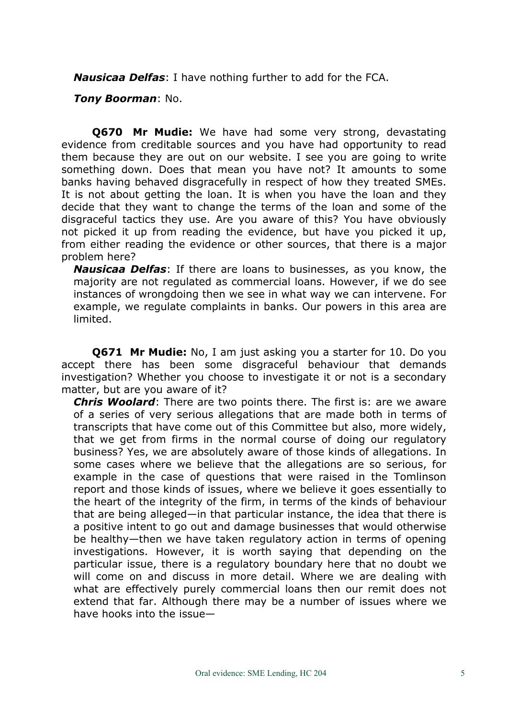*Nausicaa Delfas*: I have nothing further to add for the FCA.

*Tony Boorman*: No.

**Q670 Mr Mudie:** We have had some very strong, devastating evidence from creditable sources and you have had opportunity to read them because they are out on our website. I see you are going to write something down. Does that mean you have not? It amounts to some banks having behaved disgracefully in respect of how they treated SMEs. It is not about getting the loan. It is when you have the loan and they decide that they want to change the terms of the loan and some of the disgraceful tactics they use. Are you aware of this? You have obviously not picked it up from reading the evidence, but have you picked it up, from either reading the evidence or other sources, that there is a major problem here?

*Nausicaa Delfas*: If there are loans to businesses, as you know, the majority are not regulated as commercial loans. However, if we do see instances of wrongdoing then we see in what way we can intervene. For example, we regulate complaints in banks. Our powers in this area are limited.

**Q671 Mr Mudie:** No, I am just asking you a starter for 10. Do you accept there has been some disgraceful behaviour that demands investigation? Whether you choose to investigate it or not is a secondary matter, but are you aware of it?

*Chris Woolard*: There are two points there. The first is: are we aware of a series of very serious allegations that are made both in terms of transcripts that have come out of this Committee but also, more widely, that we get from firms in the normal course of doing our regulatory business? Yes, we are absolutely aware of those kinds of allegations. In some cases where we believe that the allegations are so serious, for example in the case of questions that were raised in the Tomlinson report and those kinds of issues, where we believe it goes essentially to the heart of the integrity of the firm, in terms of the kinds of behaviour that are being alleged—in that particular instance, the idea that there is a positive intent to go out and damage businesses that would otherwise be healthy—then we have taken regulatory action in terms of opening investigations. However, it is worth saying that depending on the particular issue, there is a regulatory boundary here that no doubt we will come on and discuss in more detail. Where we are dealing with what are effectively purely commercial loans then our remit does not extend that far. Although there may be a number of issues where we have hooks into the issue—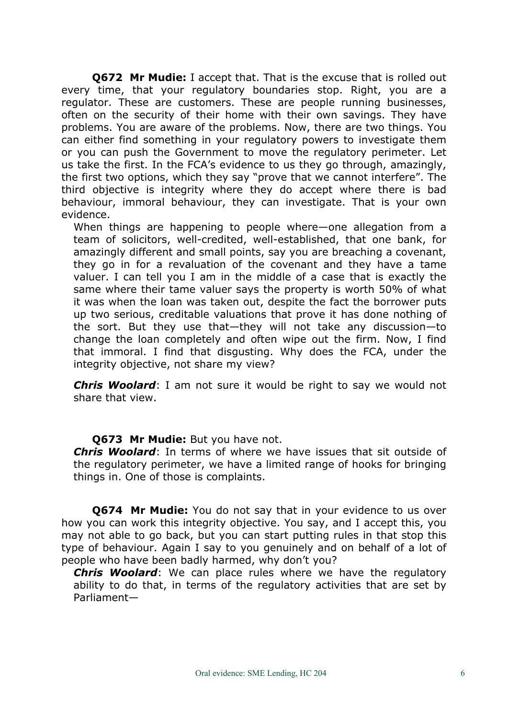**Q672 Mr Mudie:** I accept that. That is the excuse that is rolled out every time, that your regulatory boundaries stop. Right, you are a regulator. These are customers. These are people running businesses, often on the security of their home with their own savings. They have problems. You are aware of the problems. Now, there are two things. You can either find something in your regulatory powers to investigate them or you can push the Government to move the regulatory perimeter. Let us take the first. In the FCA's evidence to us they go through, amazingly, the first two options, which they say "prove that we cannot interfere". The third objective is integrity where they do accept where there is bad behaviour, immoral behaviour, they can investigate. That is your own evidence.

When things are happening to people where—one allegation from a team of solicitors, well-credited, well-established, that one bank, for amazingly different and small points, say you are breaching a covenant, they go in for a revaluation of the covenant and they have a tame valuer. I can tell you I am in the middle of a case that is exactly the same where their tame valuer says the property is worth 50% of what it was when the loan was taken out, despite the fact the borrower puts up two serious, creditable valuations that prove it has done nothing of the sort. But they use that—they will not take any discussion—to change the loan completely and often wipe out the firm. Now, I find that immoral. I find that disgusting. Why does the FCA, under the integrity objective, not share my view?

*Chris Woolard*: I am not sure it would be right to say we would not share that view.

## **Q673 Mr Mudie:** But you have not.

*Chris Woolard*: In terms of where we have issues that sit outside of the regulatory perimeter, we have a limited range of hooks for bringing things in. One of those is complaints.

**Q674 Mr Mudie:** You do not say that in your evidence to us over how you can work this integrity objective. You say, and I accept this, you may not able to go back, but you can start putting rules in that stop this type of behaviour. Again I say to you genuinely and on behalf of a lot of people who have been badly harmed, why don't you?

*Chris Woolard*: We can place rules where we have the regulatory ability to do that, in terms of the regulatory activities that are set by Parliament—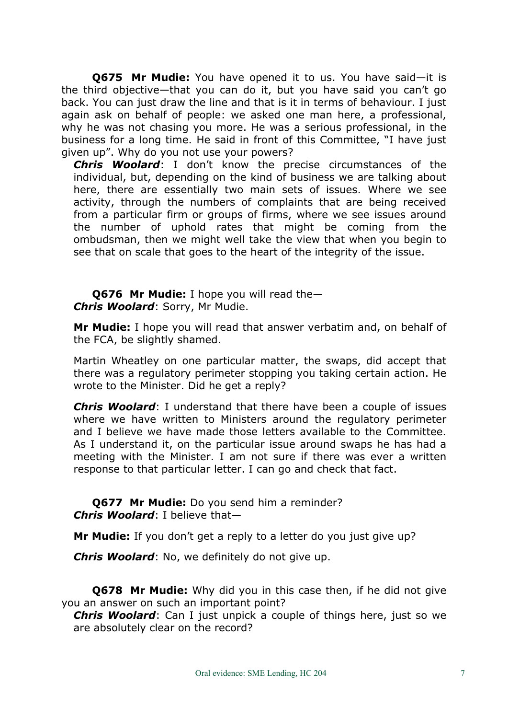**Q675 Mr Mudie:** You have opened it to us. You have said—it is the third objective—that you can do it, but you have said you can't go back. You can just draw the line and that is it in terms of behaviour. I just again ask on behalf of people: we asked one man here, a professional, why he was not chasing you more. He was a serious professional, in the business for a long time. He said in front of this Committee, "I have just given up". Why do you not use your powers?

*Chris Woolard*: I don't know the precise circumstances of the individual, but, depending on the kind of business we are talking about here, there are essentially two main sets of issues. Where we see activity, through the numbers of complaints that are being received from a particular firm or groups of firms, where we see issues around the number of uphold rates that might be coming from the ombudsman, then we might well take the view that when you begin to see that on scale that goes to the heart of the integrity of the issue.

**Q676 Mr Mudie:** I hope you will read the— *Chris Woolard*: Sorry, Mr Mudie.

**Mr Mudie:** I hope you will read that answer verbatim and, on behalf of the FCA, be slightly shamed.

Martin Wheatley on one particular matter, the swaps, did accept that there was a regulatory perimeter stopping you taking certain action. He wrote to the Minister. Did he get a reply?

*Chris Woolard*: I understand that there have been a couple of issues where we have written to Ministers around the regulatory perimeter and I believe we have made those letters available to the Committee. As I understand it, on the particular issue around swaps he has had a meeting with the Minister. I am not sure if there was ever a written response to that particular letter. I can go and check that fact.

**Q677 Mr Mudie:** Do you send him a reminder? *Chris Woolard*: I believe that—

**Mr Mudie:** If you don't get a reply to a letter do you just give up?

*Chris Woolard*: No, we definitely do not give up.

**Q678 Mr Mudie:** Why did you in this case then, if he did not give you an answer on such an important point?

*Chris Woolard*: Can I just unpick a couple of things here, just so we are absolutely clear on the record?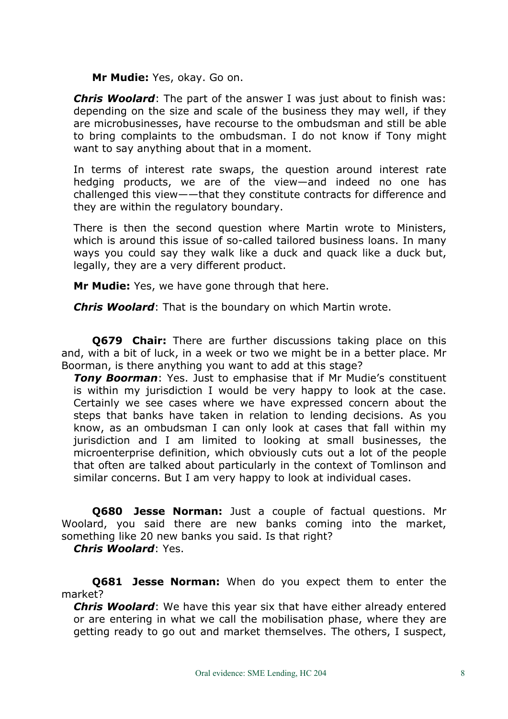#### **Mr Mudie:** Yes, okay. Go on.

*Chris Woolard*: The part of the answer I was just about to finish was: depending on the size and scale of the business they may well, if they are microbusinesses, have recourse to the ombudsman and still be able to bring complaints to the ombudsman. I do not know if Tony might want to say anything about that in a moment.

In terms of interest rate swaps, the question around interest rate hedging products, we are of the view—and indeed no one has challenged this view——that they constitute contracts for difference and they are within the regulatory boundary.

There is then the second question where Martin wrote to Ministers, which is around this issue of so-called tailored business loans. In many ways you could say they walk like a duck and quack like a duck but, legally, they are a very different product.

**Mr Mudie:** Yes, we have gone through that here.

*Chris Woolard*: That is the boundary on which Martin wrote.

**Q679 Chair:** There are further discussions taking place on this and, with a bit of luck, in a week or two we might be in a better place. Mr Boorman, is there anything you want to add at this stage?

*Tony Boorman*: Yes. Just to emphasise that if Mr Mudie's constituent is within my jurisdiction I would be very happy to look at the case. Certainly we see cases where we have expressed concern about the steps that banks have taken in relation to lending decisions. As you know, as an ombudsman I can only look at cases that fall within my jurisdiction and I am limited to looking at small businesses, the microenterprise definition, which obviously cuts out a lot of the people that often are talked about particularly in the context of Tomlinson and similar concerns. But I am very happy to look at individual cases.

**Q680 Jesse Norman:** Just a couple of factual questions. Mr Woolard, you said there are new banks coming into the market, something like 20 new banks you said. Is that right?

*Chris Woolard*: Yes.

**Q681 Jesse Norman:** When do you expect them to enter the market?

*Chris Woolard*: We have this year six that have either already entered or are entering in what we call the mobilisation phase, where they are getting ready to go out and market themselves. The others, I suspect,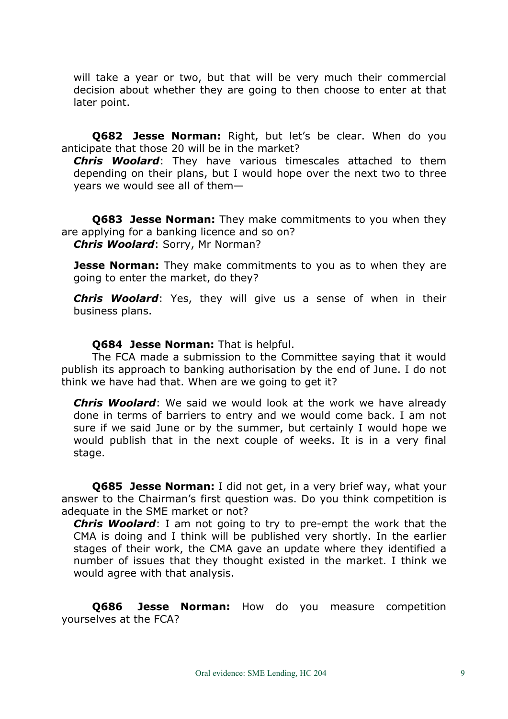will take a year or two, but that will be very much their commercial decision about whether they are going to then choose to enter at that later point.

**Q682 Jesse Norman:** Right, but let's be clear. When do you anticipate that those 20 will be in the market?

*Chris Woolard*: They have various timescales attached to them depending on their plans, but I would hope over the next two to three years we would see all of them—

**Q683 Jesse Norman:** They make commitments to you when they are applying for a banking licence and so on? *Chris Woolard*: Sorry, Mr Norman?

**Jesse Norman:** They make commitments to you as to when they are going to enter the market, do they?

*Chris Woolard*: Yes, they will give us a sense of when in their business plans.

## **Q684 Jesse Norman:** That is helpful.

The FCA made a submission to the Committee saying that it would publish its approach to banking authorisation by the end of June. I do not think we have had that. When are we going to get it?

*Chris Woolard*: We said we would look at the work we have already done in terms of barriers to entry and we would come back. I am not sure if we said June or by the summer, but certainly I would hope we would publish that in the next couple of weeks. It is in a very final stage.

**Q685 Jesse Norman:** I did not get, in a very brief way, what your answer to the Chairman's first question was. Do you think competition is adequate in the SME market or not?

*Chris Woolard*: I am not going to try to pre-empt the work that the CMA is doing and I think will be published very shortly. In the earlier stages of their work, the CMA gave an update where they identified a number of issues that they thought existed in the market. I think we would agree with that analysis.

**Q686 Jesse Norman:** How do you measure competition yourselves at the FCA?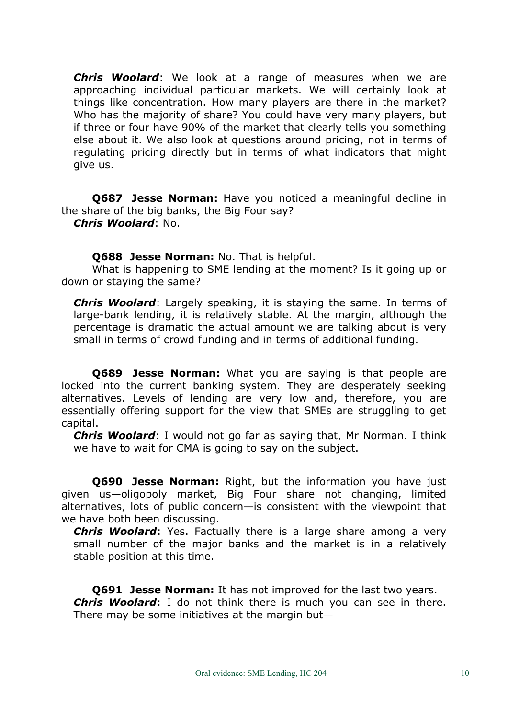*Chris Woolard*: We look at a range of measures when we are approaching individual particular markets. We will certainly look at things like concentration. How many players are there in the market? Who has the majority of share? You could have very many players, but if three or four have 90% of the market that clearly tells you something else about it. We also look at questions around pricing, not in terms of regulating pricing directly but in terms of what indicators that might give us.

**Q687 Jesse Norman:** Have you noticed a meaningful decline in the share of the big banks, the Big Four say?

*Chris Woolard*: No.

**Q688 Jesse Norman:** No. That is helpful.

What is happening to SME lending at the moment? Is it going up or down or staying the same?

*Chris Woolard*: Largely speaking, it is staying the same. In terms of large-bank lending, it is relatively stable. At the margin, although the percentage is dramatic the actual amount we are talking about is very small in terms of crowd funding and in terms of additional funding.

**Q689 Jesse Norman:** What you are saying is that people are locked into the current banking system. They are desperately seeking alternatives. Levels of lending are very low and, therefore, you are essentially offering support for the view that SMEs are struggling to get capital.

*Chris Woolard*: I would not go far as saying that, Mr Norman. I think we have to wait for CMA is going to say on the subject.

**Q690 Jesse Norman:** Right, but the information you have just given us—oligopoly market, Big Four share not changing, limited alternatives, lots of public concern—is consistent with the viewpoint that we have both been discussing.

*Chris Woolard*: Yes. Factually there is a large share among a very small number of the major banks and the market is in a relatively stable position at this time.

**Q691 Jesse Norman:** It has not improved for the last two years. *Chris Woolard*: I do not think there is much you can see in there. There may be some initiatives at the margin but—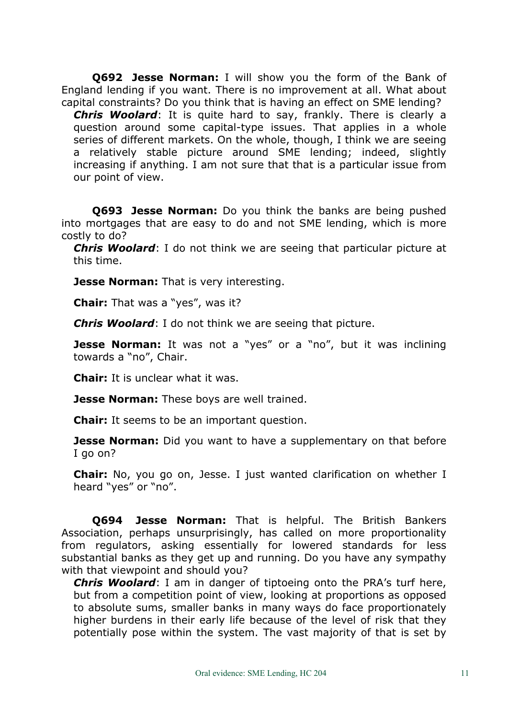**Q692 Jesse Norman:** I will show you the form of the Bank of England lending if you want. There is no improvement at all. What about capital constraints? Do you think that is having an effect on SME lending?

*Chris Woolard*: It is quite hard to say, frankly. There is clearly a question around some capital-type issues. That applies in a whole series of different markets. On the whole, though, I think we are seeing a relatively stable picture around SME lending; indeed, slightly increasing if anything. I am not sure that that is a particular issue from our point of view.

**Q693 Jesse Norman:** Do you think the banks are being pushed into mortgages that are easy to do and not SME lending, which is more costly to do?

*Chris Woolard*: I do not think we are seeing that particular picture at this time.

**Jesse Norman:** That is very interesting.

**Chair:** That was a "yes", was it?

*Chris Woolard*: I do not think we are seeing that picture.

**Jesse Norman:** It was not a "yes" or a "no", but it was inclining towards a "no", Chair.

**Chair:** It is unclear what it was.

**Jesse Norman:** These boys are well trained.

**Chair:** It seems to be an important question.

**Jesse Norman:** Did you want to have a supplementary on that before I go on?

**Chair:** No, you go on, Jesse. I just wanted clarification on whether I heard "yes" or "no".

**Q694 Jesse Norman:** That is helpful. The British Bankers Association, perhaps unsurprisingly, has called on more proportionality from regulators, asking essentially for lowered standards for less substantial banks as they get up and running. Do you have any sympathy with that viewpoint and should you?

*Chris Woolard*: I am in danger of tiptoeing onto the PRA's turf here, but from a competition point of view, looking at proportions as opposed to absolute sums, smaller banks in many ways do face proportionately higher burdens in their early life because of the level of risk that they potentially pose within the system. The vast majority of that is set by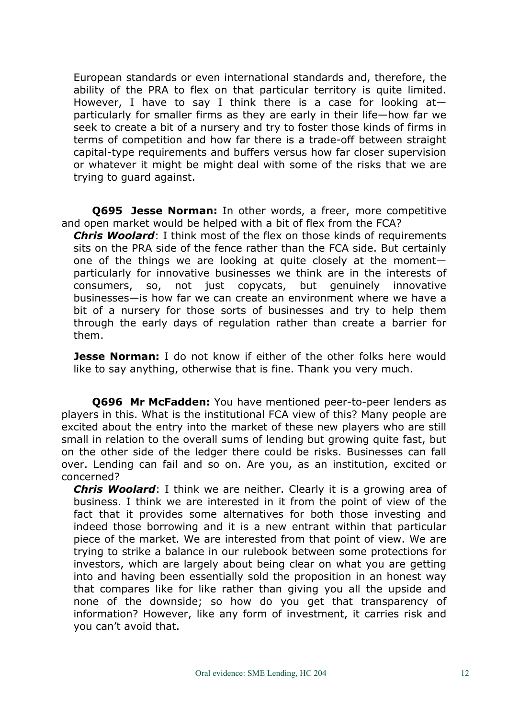European standards or even international standards and, therefore, the ability of the PRA to flex on that particular territory is quite limited. However, I have to say I think there is a case for looking  $at$ particularly for smaller firms as they are early in their life—how far we seek to create a bit of a nursery and try to foster those kinds of firms in terms of competition and how far there is a trade-off between straight capital-type requirements and buffers versus how far closer supervision or whatever it might be might deal with some of the risks that we are trying to guard against.

**Q695 Jesse Norman:** In other words, a freer, more competitive and open market would be helped with a bit of flex from the FCA?

*Chris Woolard*: I think most of the flex on those kinds of requirements sits on the PRA side of the fence rather than the FCA side. But certainly one of the things we are looking at quite closely at the moment particularly for innovative businesses we think are in the interests of consumers, so, not just copycats, but genuinely innovative businesses—is how far we can create an environment where we have a bit of a nursery for those sorts of businesses and try to help them through the early days of regulation rather than create a barrier for them.

**Jesse Norman:** I do not know if either of the other folks here would like to say anything, otherwise that is fine. Thank you very much.

**Q696 Mr McFadden:** You have mentioned peer-to-peer lenders as players in this. What is the institutional FCA view of this? Many people are excited about the entry into the market of these new players who are still small in relation to the overall sums of lending but growing quite fast, but on the other side of the ledger there could be risks. Businesses can fall over. Lending can fail and so on. Are you, as an institution, excited or concerned?

*Chris Woolard*: I think we are neither. Clearly it is a growing area of business. I think we are interested in it from the point of view of the fact that it provides some alternatives for both those investing and indeed those borrowing and it is a new entrant within that particular piece of the market. We are interested from that point of view. We are trying to strike a balance in our rulebook between some protections for investors, which are largely about being clear on what you are getting into and having been essentially sold the proposition in an honest way that compares like for like rather than giving you all the upside and none of the downside; so how do you get that transparency of information? However, like any form of investment, it carries risk and you can't avoid that.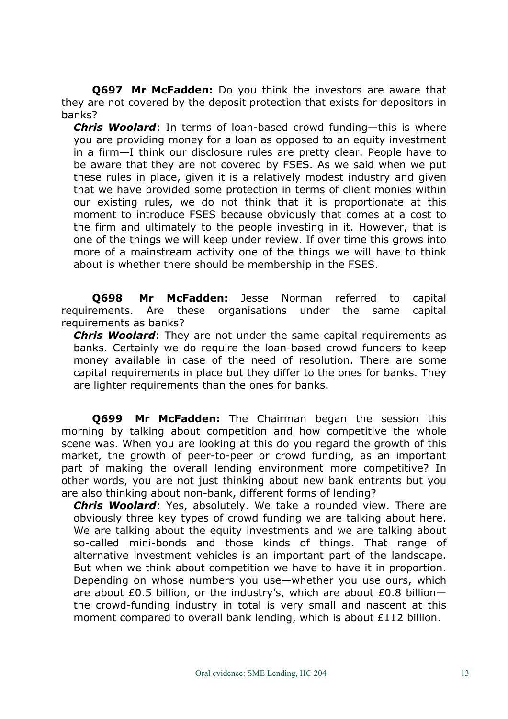**Q697 Mr McFadden:** Do you think the investors are aware that they are not covered by the deposit protection that exists for depositors in banks?

*Chris Woolard*: In terms of loan-based crowd funding—this is where you are providing money for a loan as opposed to an equity investment in a firm—I think our disclosure rules are pretty clear. People have to be aware that they are not covered by FSES. As we said when we put these rules in place, given it is a relatively modest industry and given that we have provided some protection in terms of client monies within our existing rules, we do not think that it is proportionate at this moment to introduce FSES because obviously that comes at a cost to the firm and ultimately to the people investing in it. However, that is one of the things we will keep under review. If over time this grows into more of a mainstream activity one of the things we will have to think about is whether there should be membership in the FSES.

**Q698 Mr McFadden:** Jesse Norman referred to capital requirements. Are these organisations under the same capital requirements as banks?

*Chris Woolard*: They are not under the same capital requirements as banks. Certainly we do require the loan-based crowd funders to keep money available in case of the need of resolution. There are some capital requirements in place but they differ to the ones for banks. They are lighter requirements than the ones for banks.

**Q699 Mr McFadden:** The Chairman began the session this morning by talking about competition and how competitive the whole scene was. When you are looking at this do you regard the growth of this market, the growth of peer-to-peer or crowd funding, as an important part of making the overall lending environment more competitive? In other words, you are not just thinking about new bank entrants but you are also thinking about non-bank, different forms of lending?

*Chris Woolard*: Yes, absolutely. We take a rounded view. There are obviously three key types of crowd funding we are talking about here. We are talking about the equity investments and we are talking about so-called mini-bonds and those kinds of things. That range of alternative investment vehicles is an important part of the landscape. But when we think about competition we have to have it in proportion. Depending on whose numbers you use—whether you use ours, which are about £0.5 billion, or the industry's, which are about £0.8 billion the crowd-funding industry in total is very small and nascent at this moment compared to overall bank lending, which is about £112 billion.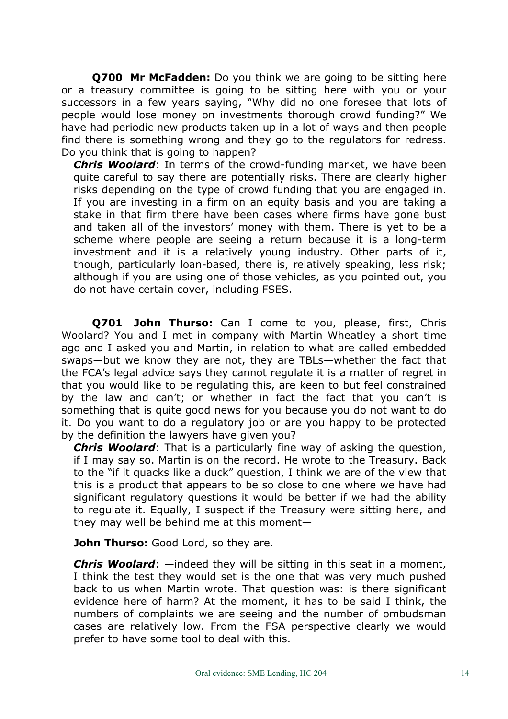**Q700 Mr McFadden:** Do you think we are going to be sitting here or a treasury committee is going to be sitting here with you or your successors in a few years saying, "Why did no one foresee that lots of people would lose money on investments thorough crowd funding?" We have had periodic new products taken up in a lot of ways and then people find there is something wrong and they go to the regulators for redress. Do you think that is going to happen?

*Chris Woolard*: In terms of the crowd-funding market, we have been quite careful to say there are potentially risks. There are clearly higher risks depending on the type of crowd funding that you are engaged in. If you are investing in a firm on an equity basis and you are taking a stake in that firm there have been cases where firms have gone bust and taken all of the investors' money with them. There is yet to be a scheme where people are seeing a return because it is a long-term investment and it is a relatively young industry. Other parts of it, though, particularly loan-based, there is, relatively speaking, less risk; although if you are using one of those vehicles, as you pointed out, you do not have certain cover, including FSES.

**Q701 John Thurso:** Can I come to you, please, first, Chris Woolard? You and I met in company with Martin Wheatley a short time ago and I asked you and Martin, in relation to what are called embedded swaps—but we know they are not, they are TBLs—whether the fact that the FCA's legal advice says they cannot regulate it is a matter of regret in that you would like to be regulating this, are keen to but feel constrained by the law and can't; or whether in fact the fact that you can't is something that is quite good news for you because you do not want to do it. Do you want to do a regulatory job or are you happy to be protected by the definition the lawyers have given you?

*Chris Woolard*: That is a particularly fine way of asking the question, if I may say so. Martin is on the record. He wrote to the Treasury. Back to the "if it quacks like a duck" question, I think we are of the view that this is a product that appears to be so close to one where we have had significant regulatory questions it would be better if we had the ability to regulate it. Equally, I suspect if the Treasury were sitting here, and they may well be behind me at this moment—

**John Thurso:** Good Lord, so they are.

*Chris Woolard*: —indeed they will be sitting in this seat in a moment, I think the test they would set is the one that was very much pushed back to us when Martin wrote. That question was: is there significant evidence here of harm? At the moment, it has to be said I think, the numbers of complaints we are seeing and the number of ombudsman cases are relatively low. From the FSA perspective clearly we would prefer to have some tool to deal with this.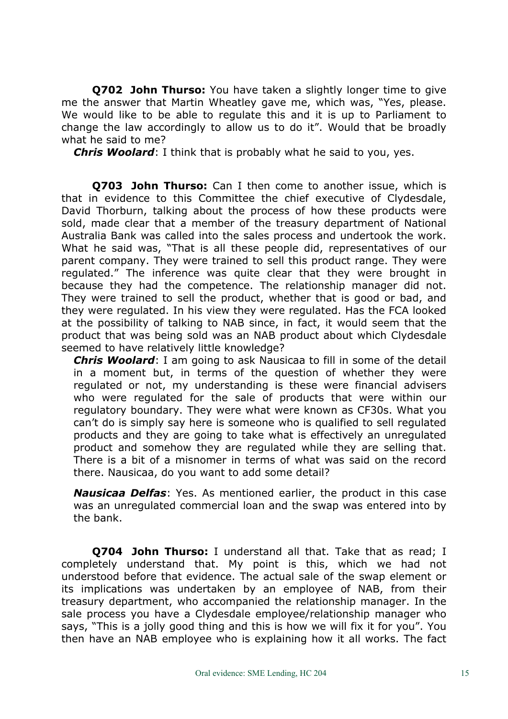**Q702 John Thurso:** You have taken a slightly longer time to give me the answer that Martin Wheatley gave me, which was, "Yes, please. We would like to be able to regulate this and it is up to Parliament to change the law accordingly to allow us to do it". Would that be broadly what he said to me?

*Chris Woolard*: I think that is probably what he said to you, yes.

**Q703 John Thurso:** Can I then come to another issue, which is that in evidence to this Committee the chief executive of Clydesdale, David Thorburn, talking about the process of how these products were sold, made clear that a member of the treasury department of National Australia Bank was called into the sales process and undertook the work. What he said was, "That is all these people did, representatives of our parent company. They were trained to sell this product range. They were regulated." The inference was quite clear that they were brought in because they had the competence. The relationship manager did not. They were trained to sell the product, whether that is good or bad, and they were regulated. In his view they were regulated. Has the FCA looked at the possibility of talking to NAB since, in fact, it would seem that the product that was being sold was an NAB product about which Clydesdale seemed to have relatively little knowledge?

*Chris Woolard*: I am going to ask Nausicaa to fill in some of the detail in a moment but, in terms of the question of whether they were regulated or not, my understanding is these were financial advisers who were regulated for the sale of products that were within our regulatory boundary. They were what were known as CF30s. What you can't do is simply say here is someone who is qualified to sell regulated products and they are going to take what is effectively an unregulated product and somehow they are regulated while they are selling that. There is a bit of a misnomer in terms of what was said on the record there. Nausicaa, do you want to add some detail?

*Nausicaa Delfas*: Yes. As mentioned earlier, the product in this case was an unregulated commercial loan and the swap was entered into by the bank.

**Q704 John Thurso:** I understand all that. Take that as read; I completely understand that. My point is this, which we had not understood before that evidence. The actual sale of the swap element or its implications was undertaken by an employee of NAB, from their treasury department, who accompanied the relationship manager. In the sale process you have a Clydesdale employee/relationship manager who says, "This is a jolly good thing and this is how we will fix it for you". You then have an NAB employee who is explaining how it all works. The fact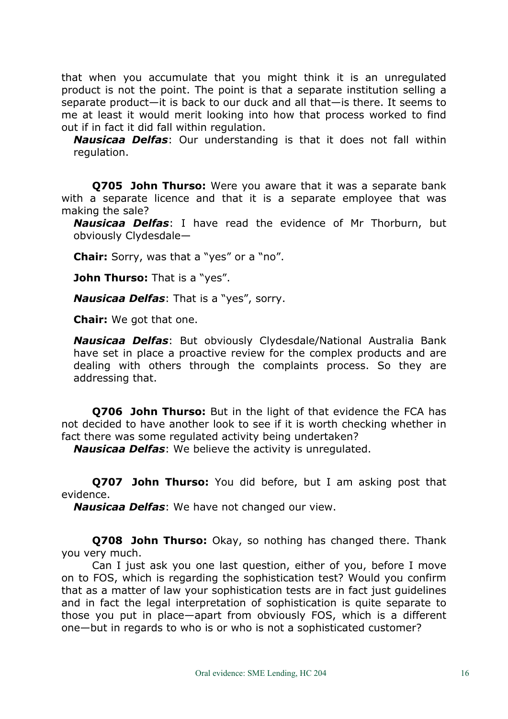that when you accumulate that you might think it is an unregulated product is not the point. The point is that a separate institution selling a separate product—it is back to our duck and all that—is there. It seems to me at least it would merit looking into how that process worked to find out if in fact it did fall within regulation.

*Nausicaa Delfas*: Our understanding is that it does not fall within regulation.

**Q705 John Thurso:** Were you aware that it was a separate bank with a separate licence and that it is a separate employee that was making the sale?

*Nausicaa Delfas*: I have read the evidence of Mr Thorburn, but obviously Clydesdale—

**Chair:** Sorry, was that a "yes" or a "no".

**John Thurso:** That is a "yes".

*Nausicaa Delfas*: That is a "yes", sorry.

**Chair:** We got that one.

*Nausicaa Delfas*: But obviously Clydesdale/National Australia Bank have set in place a proactive review for the complex products and are dealing with others through the complaints process. So they are addressing that.

**Q706 John Thurso:** But in the light of that evidence the FCA has not decided to have another look to see if it is worth checking whether in fact there was some regulated activity being undertaken?

*Nausicaa Delfas*: We believe the activity is unregulated.

**Q707 John Thurso:** You did before, but I am asking post that evidence.

*Nausicaa Delfas*: We have not changed our view.

**Q708 John Thurso:** Okay, so nothing has changed there. Thank you very much.

Can I just ask you one last question, either of you, before I move on to FOS, which is regarding the sophistication test? Would you confirm that as a matter of law your sophistication tests are in fact just guidelines and in fact the legal interpretation of sophistication is quite separate to those you put in place—apart from obviously FOS, which is a different one—but in regards to who is or who is not a sophisticated customer?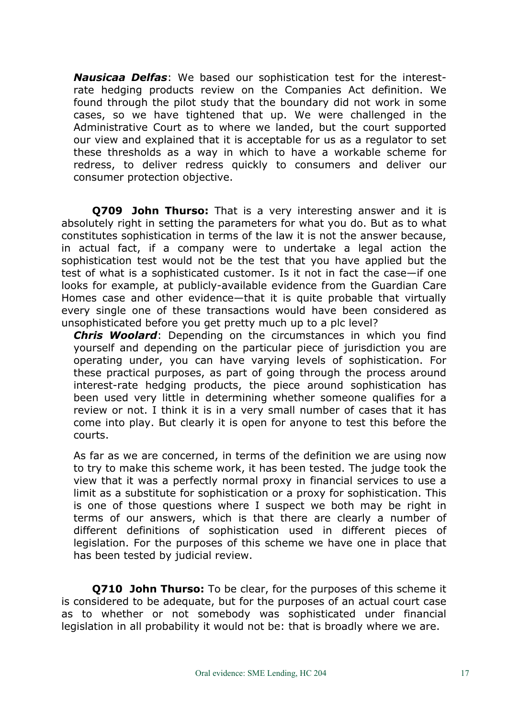*Nausicaa Delfas*: We based our sophistication test for the interestrate hedging products review on the Companies Act definition. We found through the pilot study that the boundary did not work in some cases, so we have tightened that up. We were challenged in the Administrative Court as to where we landed, but the court supported our view and explained that it is acceptable for us as a regulator to set these thresholds as a way in which to have a workable scheme for redress, to deliver redress quickly to consumers and deliver our consumer protection objective.

**Q709 John Thurso:** That is a very interesting answer and it is absolutely right in setting the parameters for what you do. But as to what constitutes sophistication in terms of the law it is not the answer because, in actual fact, if a company were to undertake a legal action the sophistication test would not be the test that you have applied but the test of what is a sophisticated customer. Is it not in fact the case—if one looks for example, at publicly-available evidence from the Guardian Care Homes case and other evidence—that it is quite probable that virtually every single one of these transactions would have been considered as unsophisticated before you get pretty much up to a plc level?

*Chris Woolard*: Depending on the circumstances in which you find yourself and depending on the particular piece of jurisdiction you are operating under, you can have varying levels of sophistication. For these practical purposes, as part of going through the process around interest-rate hedging products, the piece around sophistication has been used very little in determining whether someone qualifies for a review or not. I think it is in a very small number of cases that it has come into play. But clearly it is open for anyone to test this before the courts.

As far as we are concerned, in terms of the definition we are using now to try to make this scheme work, it has been tested. The judge took the view that it was a perfectly normal proxy in financial services to use a limit as a substitute for sophistication or a proxy for sophistication. This is one of those questions where I suspect we both may be right in terms of our answers, which is that there are clearly a number of different definitions of sophistication used in different pieces of legislation. For the purposes of this scheme we have one in place that has been tested by judicial review.

**Q710 John Thurso:** To be clear, for the purposes of this scheme it is considered to be adequate, but for the purposes of an actual court case as to whether or not somebody was sophisticated under financial legislation in all probability it would not be: that is broadly where we are.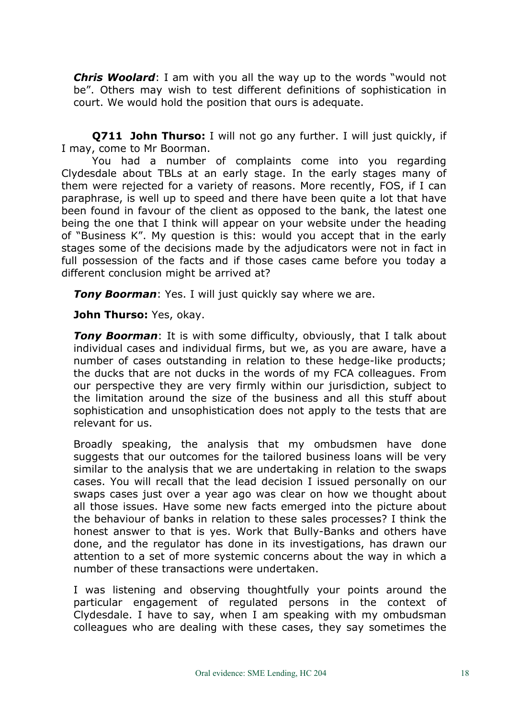*Chris Woolard*: I am with you all the way up to the words "would not be". Others may wish to test different definitions of sophistication in court. We would hold the position that ours is adequate.

**Q711 John Thurso:** I will not go any further. I will just quickly, if I may, come to Mr Boorman.

You had a number of complaints come into you regarding Clydesdale about TBLs at an early stage. In the early stages many of them were rejected for a variety of reasons. More recently, FOS, if I can paraphrase, is well up to speed and there have been quite a lot that have been found in favour of the client as opposed to the bank, the latest one being the one that I think will appear on your website under the heading of "Business K". My question is this: would you accept that in the early stages some of the decisions made by the adjudicators were not in fact in full possession of the facts and if those cases came before you today a different conclusion might be arrived at?

*Tony Boorman*: Yes. I will just quickly say where we are.

**John Thurso:** Yes, okay.

**Tony Boorman**: It is with some difficulty, obviously, that I talk about individual cases and individual firms, but we, as you are aware, have a number of cases outstanding in relation to these hedge-like products; the ducks that are not ducks in the words of my FCA colleagues. From our perspective they are very firmly within our jurisdiction, subject to the limitation around the size of the business and all this stuff about sophistication and unsophistication does not apply to the tests that are relevant for us.

Broadly speaking, the analysis that my ombudsmen have done suggests that our outcomes for the tailored business loans will be very similar to the analysis that we are undertaking in relation to the swaps cases. You will recall that the lead decision I issued personally on our swaps cases just over a year ago was clear on how we thought about all those issues. Have some new facts emerged into the picture about the behaviour of banks in relation to these sales processes? I think the honest answer to that is yes. Work that Bully-Banks and others have done, and the regulator has done in its investigations, has drawn our attention to a set of more systemic concerns about the way in which a number of these transactions were undertaken.

I was listening and observing thoughtfully your points around the particular engagement of regulated persons in the context of Clydesdale. I have to say, when I am speaking with my ombudsman colleagues who are dealing with these cases, they say sometimes the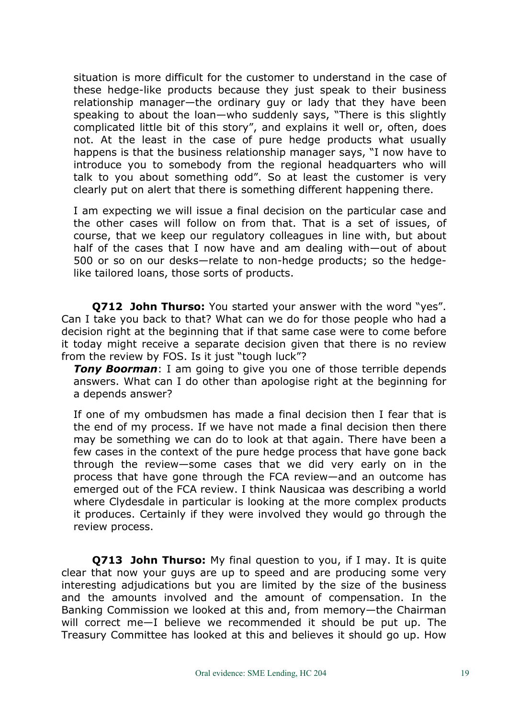situation is more difficult for the customer to understand in the case of these hedge-like products because they just speak to their business relationship manager—the ordinary guy or lady that they have been speaking to about the loan—who suddenly says, "There is this slightly complicated little bit of this story", and explains it well or, often, does not. At the least in the case of pure hedge products what usually happens is that the business relationship manager says, "I now have to introduce you to somebody from the regional headquarters who will talk to you about something odd". So at least the customer is very clearly put on alert that there is something different happening there.

I am expecting we will issue a final decision on the particular case and the other cases will follow on from that. That is a set of issues, of course, that we keep our regulatory colleagues in line with, but about half of the cases that I now have and am dealing with—out of about 500 or so on our desks—relate to non-hedge products; so the hedgelike tailored loans, those sorts of products.

**Q712 John Thurso:** You started your answer with the word "yes". Can I take you back to that? What can we do for those people who had a decision right at the beginning that if that same case were to come before it today might receive a separate decision given that there is no review from the review by FOS. Is it just "tough luck"?

*Tony Boorman*: I am going to give you one of those terrible depends answers. What can I do other than apologise right at the beginning for a depends answer?

If one of my ombudsmen has made a final decision then I fear that is the end of my process. If we have not made a final decision then there may be something we can do to look at that again. There have been a few cases in the context of the pure hedge process that have gone back through the review—some cases that we did very early on in the process that have gone through the FCA review—and an outcome has emerged out of the FCA review. I think Nausicaa was describing a world where Clydesdale in particular is looking at the more complex products it produces. Certainly if they were involved they would go through the review process.

**Q713 John Thurso:** My final question to you, if I may. It is quite clear that now your guys are up to speed and are producing some very interesting adjudications but you are limited by the size of the business and the amounts involved and the amount of compensation. In the Banking Commission we looked at this and, from memory—the Chairman will correct me—I believe we recommended it should be put up. The Treasury Committee has looked at this and believes it should go up. How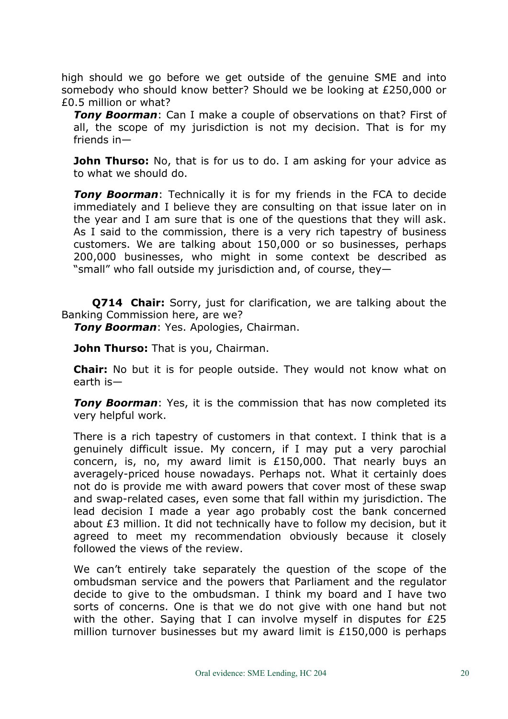high should we go before we get outside of the genuine SME and into somebody who should know better? Should we be looking at £250,000 or £0.5 million or what?

*Tony Boorman*: Can I make a couple of observations on that? First of all, the scope of my jurisdiction is not my decision. That is for my friends in—

**John Thurso:** No, that is for us to do. I am asking for your advice as to what we should do.

*Tony Boorman*: Technically it is for my friends in the FCA to decide immediately and I believe they are consulting on that issue later on in the year and I am sure that is one of the questions that they will ask. As I said to the commission, there is a very rich tapestry of business customers. We are talking about 150,000 or so businesses, perhaps 200,000 businesses, who might in some context be described as "small" who fall outside my jurisdiction and, of course, they—

**Q714 Chair:** Sorry, just for clarification, we are talking about the Banking Commission here, are we?

*Tony Boorman*: Yes. Apologies, Chairman.

**John Thurso:** That is you, Chairman.

**Chair:** No but it is for people outside. They would not know what on earth is—

*Tony Boorman*: Yes, it is the commission that has now completed its very helpful work.

There is a rich tapestry of customers in that context. I think that is a genuinely difficult issue. My concern, if I may put a very parochial concern, is, no, my award limit is £150,000. That nearly buys an averagely-priced house nowadays. Perhaps not. What it certainly does not do is provide me with award powers that cover most of these swap and swap-related cases, even some that fall within my jurisdiction. The lead decision I made a year ago probably cost the bank concerned about £3 million. It did not technically have to follow my decision, but it agreed to meet my recommendation obviously because it closely followed the views of the review.

We can't entirely take separately the question of the scope of the ombudsman service and the powers that Parliament and the regulator decide to give to the ombudsman. I think my board and I have two sorts of concerns. One is that we do not give with one hand but not with the other. Saying that I can involve myself in disputes for £25 million turnover businesses but my award limit is £150,000 is perhaps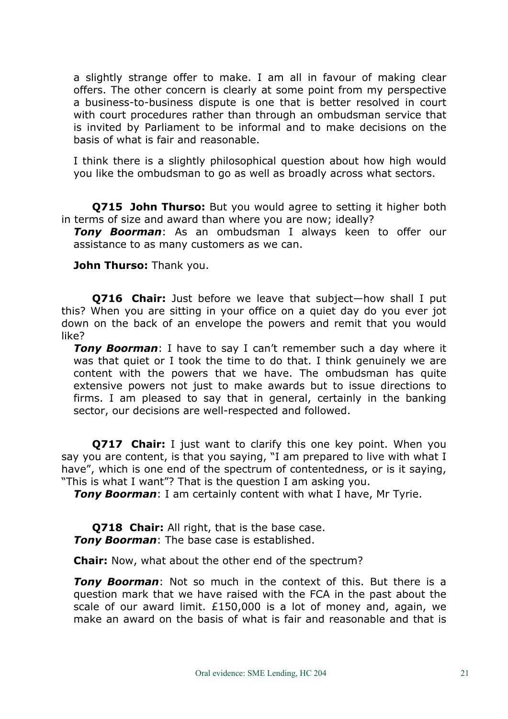a slightly strange offer to make. I am all in favour of making clear offers. The other concern is clearly at some point from my perspective a business-to-business dispute is one that is better resolved in court with court procedures rather than through an ombudsman service that is invited by Parliament to be informal and to make decisions on the basis of what is fair and reasonable.

I think there is a slightly philosophical question about how high would you like the ombudsman to go as well as broadly across what sectors.

**Q715 John Thurso:** But you would agree to setting it higher both in terms of size and award than where you are now; ideally?

*Tony Boorman*: As an ombudsman I always keen to offer our assistance to as many customers as we can.

**John Thurso:** Thank you.

**Q716 Chair:** Just before we leave that subject—how shall I put this? When you are sitting in your office on a quiet day do you ever jot down on the back of an envelope the powers and remit that you would like?

*Tony Boorman*: I have to say I can't remember such a day where it was that quiet or I took the time to do that. I think genuinely we are content with the powers that we have. The ombudsman has quite extensive powers not just to make awards but to issue directions to firms. I am pleased to say that in general, certainly in the banking sector, our decisions are well-respected and followed.

**Q717 Chair:** I just want to clarify this one key point. When you say you are content, is that you saying, "I am prepared to live with what I have", which is one end of the spectrum of contentedness, or is it saying, "This is what I want"? That is the question I am asking you.

*Tony Boorman*: I am certainly content with what I have, Mr Tyrie.

**Q718 Chair:** All right, that is the base case. *Tony Boorman*: The base case is established.

**Chair:** Now, what about the other end of the spectrum?

*Tony Boorman*: Not so much in the context of this. But there is a question mark that we have raised with the FCA in the past about the scale of our award limit. £150,000 is a lot of money and, again, we make an award on the basis of what is fair and reasonable and that is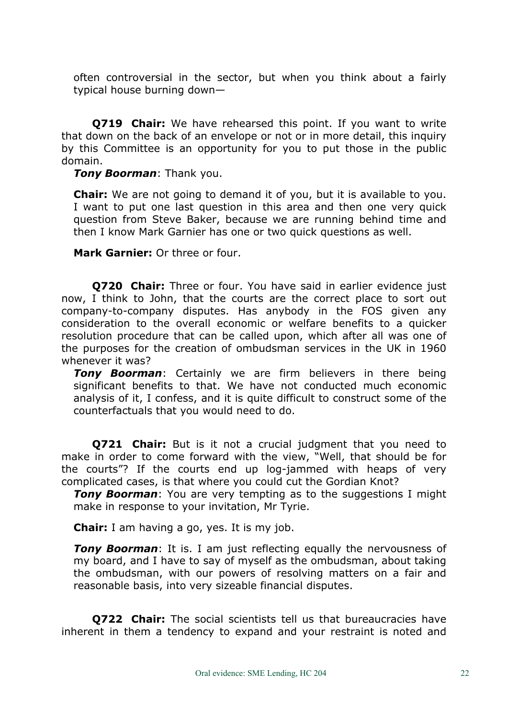often controversial in the sector, but when you think about a fairly typical house burning down—

**Q719 Chair:** We have rehearsed this point. If you want to write that down on the back of an envelope or not or in more detail, this inquiry by this Committee is an opportunity for you to put those in the public domain.

*Tony Boorman*: Thank you.

**Chair:** We are not going to demand it of you, but it is available to you. I want to put one last question in this area and then one very quick question from Steve Baker, because we are running behind time and then I know Mark Garnier has one or two quick questions as well.

**Mark Garnier:** Or three or four.

**Q720 Chair:** Three or four. You have said in earlier evidence just now, I think to John, that the courts are the correct place to sort out company-to-company disputes. Has anybody in the FOS given any consideration to the overall economic or welfare benefits to a quicker resolution procedure that can be called upon, which after all was one of the purposes for the creation of ombudsman services in the UK in 1960 whenever it was?

*Tony Boorman*: Certainly we are firm believers in there being significant benefits to that. We have not conducted much economic analysis of it, I confess, and it is quite difficult to construct some of the counterfactuals that you would need to do.

**Q721 Chair:** But is it not a crucial judgment that you need to make in order to come forward with the view, "Well, that should be for the courts"? If the courts end up log-jammed with heaps of very complicated cases, is that where you could cut the Gordian Knot?

*Tony Boorman*: You are very tempting as to the suggestions I might make in response to your invitation, Mr Tyrie.

**Chair:** I am having a go, yes. It is my job.

**Tony Boorman:** It is. I am just reflecting equally the nervousness of my board, and I have to say of myself as the ombudsman, about taking the ombudsman, with our powers of resolving matters on a fair and reasonable basis, into very sizeable financial disputes.

**Q722 Chair:** The social scientists tell us that bureaucracies have inherent in them a tendency to expand and your restraint is noted and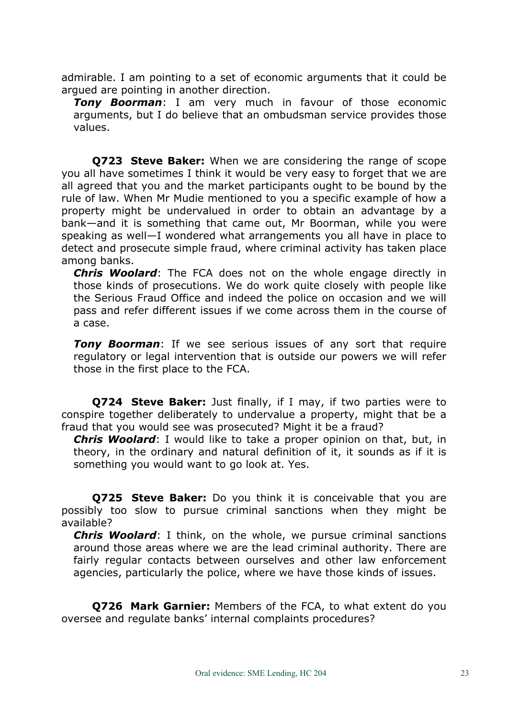admirable. I am pointing to a set of economic arguments that it could be argued are pointing in another direction.

*Tony Boorman*: I am very much in favour of those economic arguments, but I do believe that an ombudsman service provides those values.

**Q723 Steve Baker:** When we are considering the range of scope you all have sometimes I think it would be very easy to forget that we are all agreed that you and the market participants ought to be bound by the rule of law. When Mr Mudie mentioned to you a specific example of how a property might be undervalued in order to obtain an advantage by a bank—and it is something that came out, Mr Boorman, while you were speaking as well—I wondered what arrangements you all have in place to detect and prosecute simple fraud, where criminal activity has taken place among banks.

*Chris Woolard*: The FCA does not on the whole engage directly in those kinds of prosecutions. We do work quite closely with people like the Serious Fraud Office and indeed the police on occasion and we will pass and refer different issues if we come across them in the course of a case.

**Tony Boorman:** If we see serious issues of any sort that require regulatory or legal intervention that is outside our powers we will refer those in the first place to the FCA.

**Q724 Steve Baker:** Just finally, if I may, if two parties were to conspire together deliberately to undervalue a property, might that be a fraud that you would see was prosecuted? Might it be a fraud?

*Chris Woolard*: I would like to take a proper opinion on that, but, in theory, in the ordinary and natural definition of it, it sounds as if it is something you would want to go look at. Yes.

**Q725 Steve Baker:** Do you think it is conceivable that you are possibly too slow to pursue criminal sanctions when they might be available?

*Chris Woolard*: I think, on the whole, we pursue criminal sanctions around those areas where we are the lead criminal authority. There are fairly regular contacts between ourselves and other law enforcement agencies, particularly the police, where we have those kinds of issues.

**Q726 Mark Garnier:** Members of the FCA, to what extent do you oversee and regulate banks' internal complaints procedures?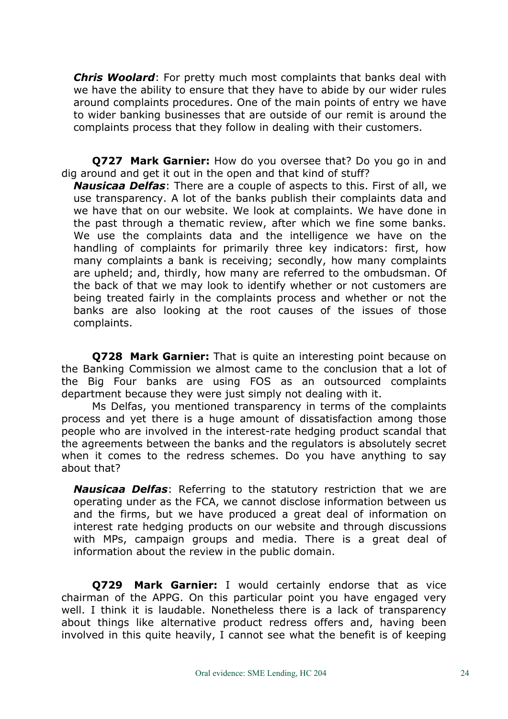*Chris Woolard*: For pretty much most complaints that banks deal with we have the ability to ensure that they have to abide by our wider rules around complaints procedures. One of the main points of entry we have to wider banking businesses that are outside of our remit is around the complaints process that they follow in dealing with their customers.

**Q727 Mark Garnier:** How do you oversee that? Do you go in and dig around and get it out in the open and that kind of stuff?

*Nausicaa Delfas*: There are a couple of aspects to this. First of all, we use transparency. A lot of the banks publish their complaints data and we have that on our website. We look at complaints. We have done in the past through a thematic review, after which we fine some banks. We use the complaints data and the intelligence we have on the handling of complaints for primarily three key indicators: first, how many complaints a bank is receiving; secondly, how many complaints are upheld; and, thirdly, how many are referred to the ombudsman. Of the back of that we may look to identify whether or not customers are being treated fairly in the complaints process and whether or not the banks are also looking at the root causes of the issues of those complaints.

**Q728 Mark Garnier:** That is quite an interesting point because on the Banking Commission we almost came to the conclusion that a lot of the Big Four banks are using FOS as an outsourced complaints department because they were just simply not dealing with it.

Ms Delfas, you mentioned transparency in terms of the complaints process and yet there is a huge amount of dissatisfaction among those people who are involved in the interest-rate hedging product scandal that the agreements between the banks and the regulators is absolutely secret when it comes to the redress schemes. Do you have anything to say about that?

*Nausicaa Delfas*: Referring to the statutory restriction that we are operating under as the FCA, we cannot disclose information between us and the firms, but we have produced a great deal of information on interest rate hedging products on our website and through discussions with MPs, campaign groups and media. There is a great deal of information about the review in the public domain.

**Q729 Mark Garnier:** I would certainly endorse that as vice chairman of the APPG. On this particular point you have engaged very well. I think it is laudable. Nonetheless there is a lack of transparency about things like alternative product redress offers and, having been involved in this quite heavily, I cannot see what the benefit is of keeping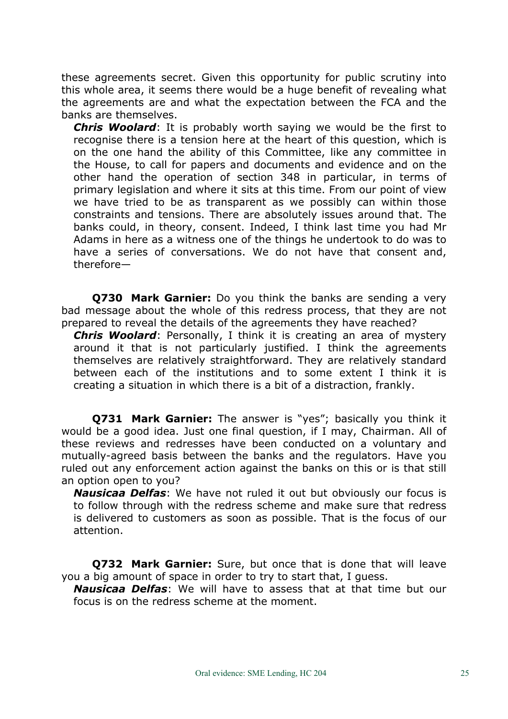these agreements secret. Given this opportunity for public scrutiny into this whole area, it seems there would be a huge benefit of revealing what the agreements are and what the expectation between the FCA and the banks are themselves.

*Chris Woolard*: It is probably worth saying we would be the first to recognise there is a tension here at the heart of this question, which is on the one hand the ability of this Committee, like any committee in the House, to call for papers and documents and evidence and on the other hand the operation of section 348 in particular, in terms of primary legislation and where it sits at this time. From our point of view we have tried to be as transparent as we possibly can within those constraints and tensions. There are absolutely issues around that. The banks could, in theory, consent. Indeed, I think last time you had Mr Adams in here as a witness one of the things he undertook to do was to have a series of conversations. We do not have that consent and, therefore—

**Q730 Mark Garnier:** Do you think the banks are sending a very bad message about the whole of this redress process, that they are not prepared to reveal the details of the agreements they have reached?

*Chris Woolard*: Personally, I think it is creating an area of mystery around it that is not particularly justified. I think the agreements themselves are relatively straightforward. They are relatively standard between each of the institutions and to some extent I think it is creating a situation in which there is a bit of a distraction, frankly.

**Q731 Mark Garnier:** The answer is "yes"; basically you think it would be a good idea. Just one final question, if I may, Chairman. All of these reviews and redresses have been conducted on a voluntary and mutually-agreed basis between the banks and the regulators. Have you ruled out any enforcement action against the banks on this or is that still an option open to you?

*Nausicaa Delfas*: We have not ruled it out but obviously our focus is to follow through with the redress scheme and make sure that redress is delivered to customers as soon as possible. That is the focus of our attention.

**Q732 Mark Garnier:** Sure, but once that is done that will leave you a big amount of space in order to try to start that, I guess.

*Nausicaa Delfas*: We will have to assess that at that time but our focus is on the redress scheme at the moment.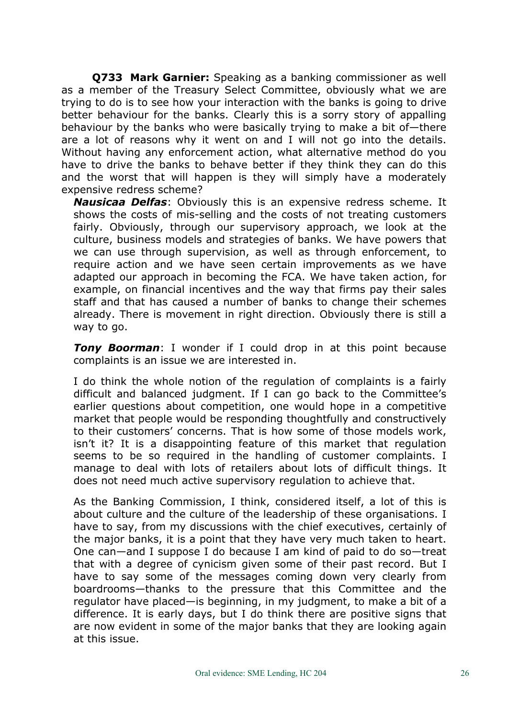**Q733 Mark Garnier:** Speaking as a banking commissioner as well as a member of the Treasury Select Committee, obviously what we are trying to do is to see how your interaction with the banks is going to drive better behaviour for the banks. Clearly this is a sorry story of appalling behaviour by the banks who were basically trying to make a bit of—there are a lot of reasons why it went on and I will not go into the details. Without having any enforcement action, what alternative method do you have to drive the banks to behave better if they think they can do this and the worst that will happen is they will simply have a moderately expensive redress scheme?

*Nausicaa Delfas*: Obviously this is an expensive redress scheme. It shows the costs of mis-selling and the costs of not treating customers fairly. Obviously, through our supervisory approach, we look at the culture, business models and strategies of banks. We have powers that we can use through supervision, as well as through enforcement, to require action and we have seen certain improvements as we have adapted our approach in becoming the FCA. We have taken action, for example, on financial incentives and the way that firms pay their sales staff and that has caused a number of banks to change their schemes already. There is movement in right direction. Obviously there is still a way to go.

*Tony Boorman*: I wonder if I could drop in at this point because complaints is an issue we are interested in.

I do think the whole notion of the regulation of complaints is a fairly difficult and balanced judgment. If I can go back to the Committee's earlier questions about competition, one would hope in a competitive market that people would be responding thoughtfully and constructively to their customers' concerns. That is how some of those models work, isn't it? It is a disappointing feature of this market that regulation seems to be so required in the handling of customer complaints. I manage to deal with lots of retailers about lots of difficult things. It does not need much active supervisory regulation to achieve that.

As the Banking Commission, I think, considered itself, a lot of this is about culture and the culture of the leadership of these organisations. I have to say, from my discussions with the chief executives, certainly of the major banks, it is a point that they have very much taken to heart. One can—and I suppose I do because I am kind of paid to do so—treat that with a degree of cynicism given some of their past record. But I have to say some of the messages coming down very clearly from boardrooms—thanks to the pressure that this Committee and the regulator have placed—is beginning, in my judgment, to make a bit of a difference. It is early days, but I do think there are positive signs that are now evident in some of the major banks that they are looking again at this issue.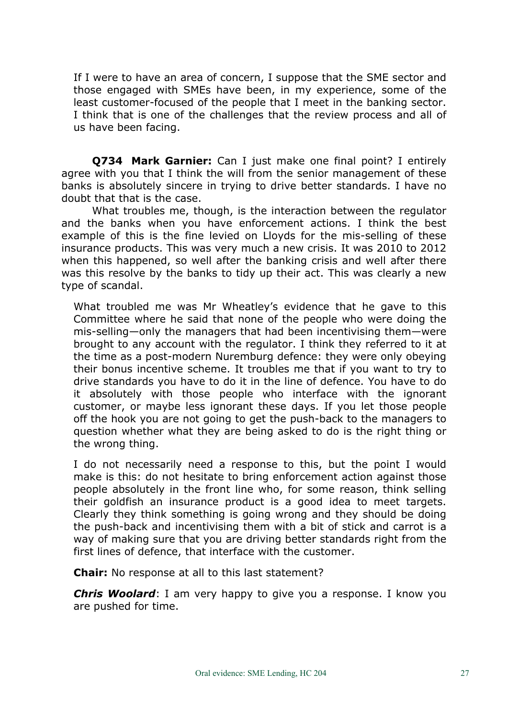If I were to have an area of concern, I suppose that the SME sector and those engaged with SMEs have been, in my experience, some of the least customer-focused of the people that I meet in the banking sector. I think that is one of the challenges that the review process and all of us have been facing.

**Q734 Mark Garnier:** Can I just make one final point? I entirely agree with you that I think the will from the senior management of these banks is absolutely sincere in trying to drive better standards. I have no doubt that that is the case.

What troubles me, though, is the interaction between the regulator and the banks when you have enforcement actions. I think the best example of this is the fine levied on Lloyds for the mis-selling of these insurance products. This was very much a new crisis. It was 2010 to 2012 when this happened, so well after the banking crisis and well after there was this resolve by the banks to tidy up their act. This was clearly a new type of scandal.

What troubled me was Mr Wheatley's evidence that he gave to this Committee where he said that none of the people who were doing the mis-selling—only the managers that had been incentivising them—were brought to any account with the regulator. I think they referred to it at the time as a post-modern Nuremburg defence: they were only obeying their bonus incentive scheme. It troubles me that if you want to try to drive standards you have to do it in the line of defence. You have to do it absolutely with those people who interface with the ignorant customer, or maybe less ignorant these days. If you let those people off the hook you are not going to get the push-back to the managers to question whether what they are being asked to do is the right thing or the wrong thing.

I do not necessarily need a response to this, but the point I would make is this: do not hesitate to bring enforcement action against those people absolutely in the front line who, for some reason, think selling their goldfish an insurance product is a good idea to meet targets. Clearly they think something is going wrong and they should be doing the push-back and incentivising them with a bit of stick and carrot is a way of making sure that you are driving better standards right from the first lines of defence, that interface with the customer.

**Chair:** No response at all to this last statement?

*Chris Woolard*: I am very happy to give you a response. I know you are pushed for time.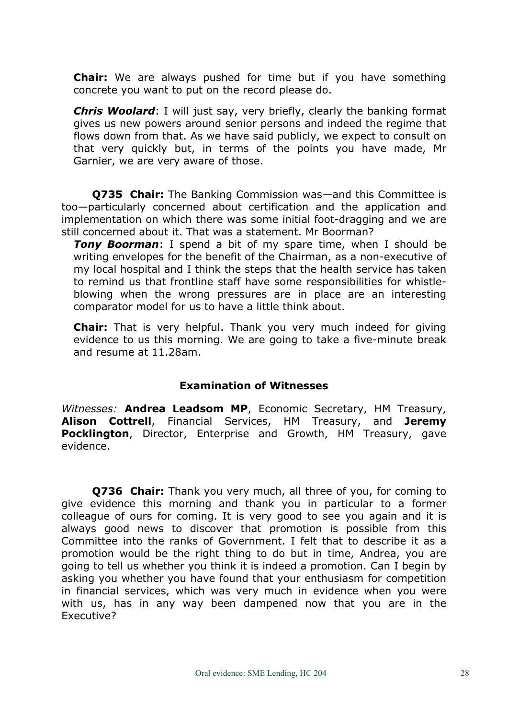**Chair:** We are always pushed for time but if you have something concrete you want to put on the record please do.

*Chris Woolard*: I will just say, very briefly, clearly the banking format gives us new powers around senior persons and indeed the regime that flows down from that. As we have said publicly, we expect to consult on that very quickly but, in terms of the points you have made, Mr Garnier, we are very aware of those.

**Q735 Chair:** The Banking Commission was—and this Committee is too—particularly concerned about certification and the application and implementation on which there was some initial foot-dragging and we are still concerned about it. That was a statement. Mr Boorman?

*Tony Boorman*: I spend a bit of my spare time, when I should be writing envelopes for the benefit of the Chairman, as a non-executive of my local hospital and I think the steps that the health service has taken to remind us that frontline staff have some responsibilities for whistleblowing when the wrong pressures are in place are an interesting comparator model for us to have a little think about.

**Chair:** That is very helpful. Thank you very much indeed for giving evidence to us this morning. We are going to take a five-minute break and resume at 11.28am.

## **Examination of Witnesses**

*Witnesses:* **Andrea Leadsom MP**, Economic Secretary, HM Treasury, **Alison Cottrell**, Financial Services, HM Treasury, and **Jeremy Pocklington**, Director, Enterprise and Growth, HM Treasury, gave evidence.

**Q736 Chair:** Thank you very much, all three of you, for coming to give evidence this morning and thank you in particular to a former colleague of ours for coming. It is very good to see you again and it is always good news to discover that promotion is possible from this Committee into the ranks of Government. I felt that to describe it as a promotion would be the right thing to do but in time, Andrea, you are going to tell us whether you think it is indeed a promotion. Can I begin by asking you whether you have found that your enthusiasm for competition in financial services, which was very much in evidence when you were with us, has in any way been dampened now that you are in the Executive?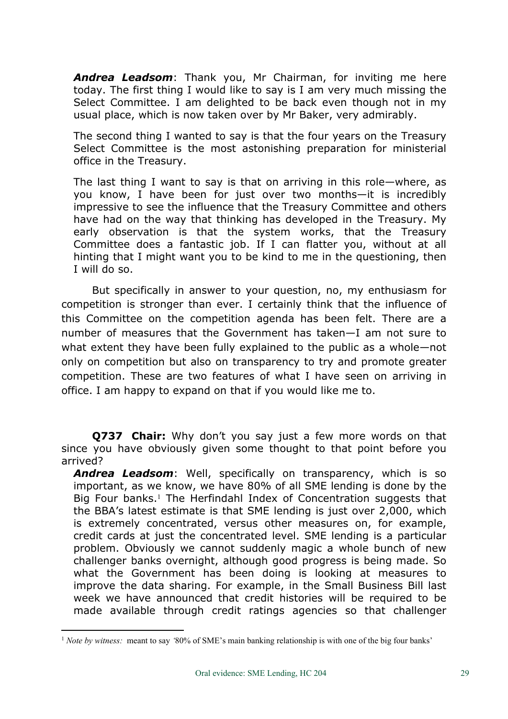*Andrea Leadsom*: Thank you, Mr Chairman, for inviting me here today. The first thing I would like to say is I am very much missing the Select Committee. I am delighted to be back even though not in my usual place, which is now taken over by Mr Baker, very admirably.

The second thing I wanted to say is that the four years on the Treasury Select Committee is the most astonishing preparation for ministerial office in the Treasury.

The last thing I want to say is that on arriving in this role—where, as you know, I have been for just over two months—it is incredibly impressive to see the influence that the Treasury Committee and others have had on the way that thinking has developed in the Treasury. My early observation is that the system works, that the Treasury Committee does a fantastic job. If I can flatter you, without at all hinting that I might want you to be kind to me in the questioning, then I will do so.

But specifically in answer to your question, no, my enthusiasm for competition is stronger than ever. I certainly think that the influence of this Committee on the competition agenda has been felt. There are a number of measures that the Government has taken—I am not sure to what extent they have been fully explained to the public as a whole—not only on competition but also on transparency to try and promote greater competition. These are two features of what I have seen on arriving in office. I am happy to expand on that if you would like me to.

**Q737 Chair:** Why don't you say just a few more words on that since you have obviously given some thought to that point before you arrived?

*Andrea Leadsom*: Well, specifically on transparency, which is so important, as we know, we have 80% of all SME lending is done by the Big Four banks.<sup>1</sup> The Herfindahl Index of Concentration suggests that the BBA's latest estimate is that SME lending is just over 2,000, which is extremely concentrated, versus other measures on, for example, credit cards at just the concentrated level. SME lending is a particular problem. Obviously we cannot suddenly magic a whole bunch of new challenger banks overnight, although good progress is being made. So what the Government has been doing is looking at measures to improve the data sharing. For example, in the Small Business Bill last week we have announced that credit histories will be required to be made available through credit ratings agencies so that challenger

<sup>1</sup> *Note by witness:* meant to say *'*80% of SME's main banking relationship is with one of the big four banks'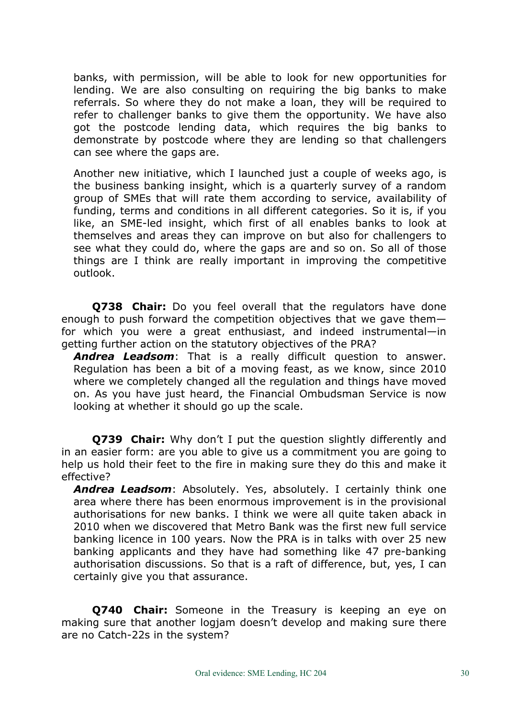banks, with permission, will be able to look for new opportunities for lending. We are also consulting on requiring the big banks to make referrals. So where they do not make a loan, they will be required to refer to challenger banks to give them the opportunity. We have also got the postcode lending data, which requires the big banks to demonstrate by postcode where they are lending so that challengers can see where the gaps are.

Another new initiative, which I launched just a couple of weeks ago, is the business banking insight, which is a quarterly survey of a random group of SMEs that will rate them according to service, availability of funding, terms and conditions in all different categories. So it is, if you like, an SME-led insight, which first of all enables banks to look at themselves and areas they can improve on but also for challengers to see what they could do, where the gaps are and so on. So all of those things are I think are really important in improving the competitive outlook.

**Q738 Chair:** Do you feel overall that the regulators have done enough to push forward the competition objectives that we gave them for which you were a great enthusiast, and indeed instrumental—in getting further action on the statutory objectives of the PRA?

*Andrea Leadsom*: That is a really difficult question to answer. Regulation has been a bit of a moving feast, as we know, since 2010 where we completely changed all the regulation and things have moved on. As you have just heard, the Financial Ombudsman Service is now looking at whether it should go up the scale.

**Q739 Chair:** Why don't I put the question slightly differently and in an easier form: are you able to give us a commitment you are going to help us hold their feet to the fire in making sure they do this and make it effective?

*Andrea Leadsom*: Absolutely. Yes, absolutely. I certainly think one area where there has been enormous improvement is in the provisional authorisations for new banks. I think we were all quite taken aback in 2010 when we discovered that Metro Bank was the first new full service banking licence in 100 years. Now the PRA is in talks with over 25 new banking applicants and they have had something like 47 pre-banking authorisation discussions. So that is a raft of difference, but, yes, I can certainly give you that assurance.

**Q740 Chair:** Someone in the Treasury is keeping an eye on making sure that another logjam doesn't develop and making sure there are no Catch-22s in the system?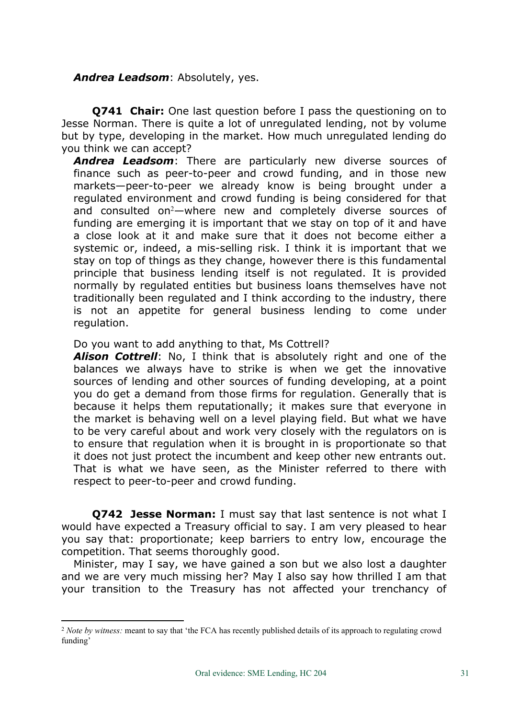## *Andrea Leadsom*: Absolutely, yes.

**Q741 Chair:** One last question before I pass the questioning on to Jesse Norman. There is quite a lot of unregulated lending, not by volume but by type, developing in the market. How much unregulated lending do you think we can accept?

*Andrea Leadsom*: There are particularly new diverse sources of finance such as peer-to-peer and crowd funding, and in those new markets—peer-to-peer we already know is being brought under a regulated environment and crowd funding is being considered for that and consulted on<sup>2</sup>—where new and completely diverse sources of funding are emerging it is important that we stay on top of it and have a close look at it and make sure that it does not become either a systemic or, indeed, a mis-selling risk. I think it is important that we stay on top of things as they change, however there is this fundamental principle that business lending itself is not regulated. It is provided normally by regulated entities but business loans themselves have not traditionally been regulated and I think according to the industry, there is not an appetite for general business lending to come under regulation.

Do you want to add anything to that, Ms Cottrell?

*Alison Cottrell*: No, I think that is absolutely right and one of the balances we always have to strike is when we get the innovative sources of lending and other sources of funding developing, at a point you do get a demand from those firms for regulation. Generally that is because it helps them reputationally; it makes sure that everyone in the market is behaving well on a level playing field. But what we have to be very careful about and work very closely with the regulators on is to ensure that regulation when it is brought in is proportionate so that it does not just protect the incumbent and keep other new entrants out. That is what we have seen, as the Minister referred to there with respect to peer-to-peer and crowd funding.

**Q742 Jesse Norman:** I must say that last sentence is not what I would have expected a Treasury official to say. I am very pleased to hear you say that: proportionate; keep barriers to entry low, encourage the competition. That seems thoroughly good.

Minister, may I say, we have gained a son but we also lost a daughter and we are very much missing her? May I also say how thrilled I am that your transition to the Treasury has not affected your trenchancy of

<sup>2</sup> *Note by witness:* meant to say that 'the FCA has recently published details of its approach to regulating crowd funding'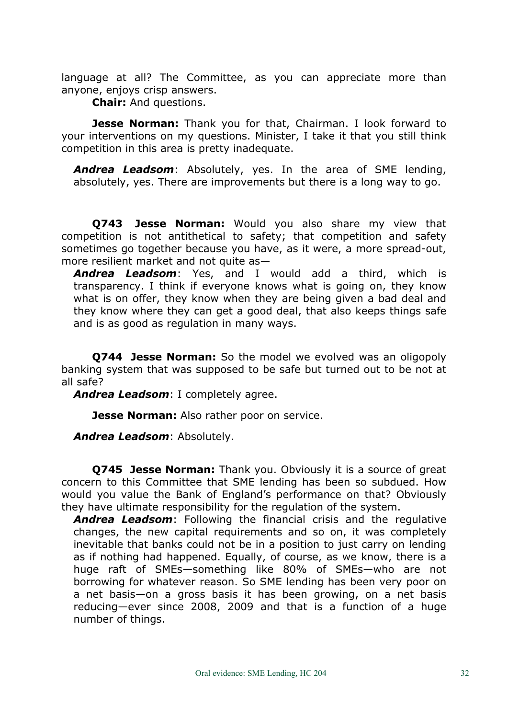language at all? The Committee, as you can appreciate more than anyone, enjoys crisp answers.

**Chair:** And questions.

**Jesse Norman:** Thank you for that, Chairman. I look forward to your interventions on my questions. Minister, I take it that you still think competition in this area is pretty inadequate.

*Andrea Leadsom*: Absolutely, yes. In the area of SME lending, absolutely, yes. There are improvements but there is a long way to go.

**Q743 Jesse Norman:** Would you also share my view that competition is not antithetical to safety; that competition and safety sometimes go together because you have, as it were, a more spread-out, more resilient market and not quite as—

*Andrea Leadsom*: Yes, and I would add a third, which is transparency. I think if everyone knows what is going on, they know what is on offer, they know when they are being given a bad deal and they know where they can get a good deal, that also keeps things safe and is as good as regulation in many ways.

**Q744 Jesse Norman:** So the model we evolved was an oligopoly banking system that was supposed to be safe but turned out to be not at all safe?

*Andrea Leadsom*: I completely agree.

**Jesse Norman:** Also rather poor on service.

*Andrea Leadsom*: Absolutely.

**Q745 Jesse Norman:** Thank you. Obviously it is a source of great concern to this Committee that SME lending has been so subdued. How would you value the Bank of England's performance on that? Obviously they have ultimate responsibility for the regulation of the system.

*Andrea Leadsom*: Following the financial crisis and the regulative changes, the new capital requirements and so on, it was completely inevitable that banks could not be in a position to just carry on lending as if nothing had happened. Equally, of course, as we know, there is a huge raft of SMEs—something like 80% of SMEs—who are not borrowing for whatever reason. So SME lending has been very poor on a net basis—on a gross basis it has been growing, on a net basis reducing—ever since 2008, 2009 and that is a function of a huge number of things.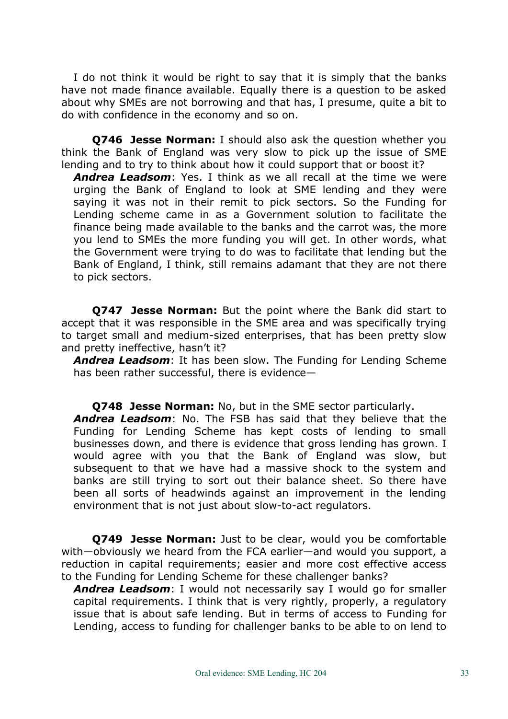I do not think it would be right to say that it is simply that the banks have not made finance available. Equally there is a question to be asked about why SMEs are not borrowing and that has, I presume, quite a bit to do with confidence in the economy and so on.

**Q746 Jesse Norman:** I should also ask the question whether you think the Bank of England was very slow to pick up the issue of SME lending and to try to think about how it could support that or boost it?

*Andrea Leadsom*: Yes. I think as we all recall at the time we were urging the Bank of England to look at SME lending and they were saying it was not in their remit to pick sectors. So the Funding for Lending scheme came in as a Government solution to facilitate the finance being made available to the banks and the carrot was, the more you lend to SMEs the more funding you will get. In other words, what the Government were trying to do was to facilitate that lending but the Bank of England, I think, still remains adamant that they are not there to pick sectors.

**Q747 Jesse Norman:** But the point where the Bank did start to accept that it was responsible in the SME area and was specifically trying to target small and medium-sized enterprises, that has been pretty slow and pretty ineffective, hasn't it?

*Andrea Leadsom*: It has been slow. The Funding for Lending Scheme has been rather successful, there is evidence—

**Q748 Jesse Norman:** No, but in the SME sector particularly. *Andrea Leadsom*: No. The FSB has said that they believe that the

Funding for Lending Scheme has kept costs of lending to small businesses down, and there is evidence that gross lending has grown. I would agree with you that the Bank of England was slow, but subsequent to that we have had a massive shock to the system and banks are still trying to sort out their balance sheet. So there have been all sorts of headwinds against an improvement in the lending environment that is not just about slow-to-act regulators.

**Q749 Jesse Norman:** Just to be clear, would you be comfortable with—obviously we heard from the FCA earlier—and would you support, a reduction in capital requirements; easier and more cost effective access to the Funding for Lending Scheme for these challenger banks?

*Andrea Leadsom*: I would not necessarily say I would go for smaller capital requirements. I think that is very rightly, properly, a regulatory issue that is about safe lending. But in terms of access to Funding for Lending, access to funding for challenger banks to be able to on lend to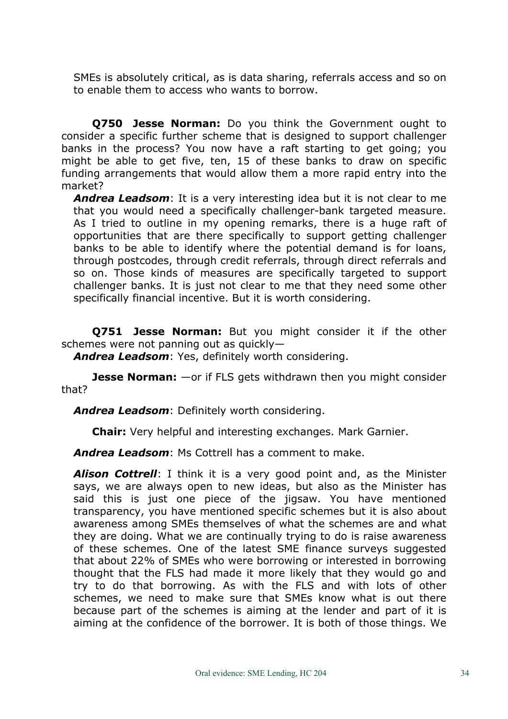SMEs is absolutely critical, as is data sharing, referrals access and so on to enable them to access who wants to borrow.

**Q750 Jesse Norman:** Do you think the Government ought to consider a specific further scheme that is designed to support challenger banks in the process? You now have a raft starting to get going; you might be able to get five, ten, 15 of these banks to draw on specific funding arrangements that would allow them a more rapid entry into the market?

*Andrea Leadsom*: It is a very interesting idea but it is not clear to me that you would need a specifically challenger-bank targeted measure. As I tried to outline in my opening remarks, there is a huge raft of opportunities that are there specifically to support getting challenger banks to be able to identify where the potential demand is for loans, through postcodes, through credit referrals, through direct referrals and so on. Those kinds of measures are specifically targeted to support challenger banks. It is just not clear to me that they need some other specifically financial incentive. But it is worth considering.

**Q751 Jesse Norman:** But you might consider it if the other schemes were not panning out as quickly—

*Andrea Leadsom*: Yes, definitely worth considering.

**Jesse Norman:** —or if FLS gets withdrawn then you might consider that?

*Andrea Leadsom*: Definitely worth considering.

**Chair:** Very helpful and interesting exchanges. Mark Garnier.

*Andrea Leadsom*: Ms Cottrell has a comment to make.

*Alison Cottrell*: I think it is a very good point and, as the Minister says, we are always open to new ideas, but also as the Minister has said this is just one piece of the jigsaw. You have mentioned transparency, you have mentioned specific schemes but it is also about awareness among SMEs themselves of what the schemes are and what they are doing. What we are continually trying to do is raise awareness of these schemes. One of the latest SME finance surveys suggested that about 22% of SMEs who were borrowing or interested in borrowing thought that the FLS had made it more likely that they would go and try to do that borrowing. As with the FLS and with lots of other schemes, we need to make sure that SMEs know what is out there because part of the schemes is aiming at the lender and part of it is aiming at the confidence of the borrower. It is both of those things. We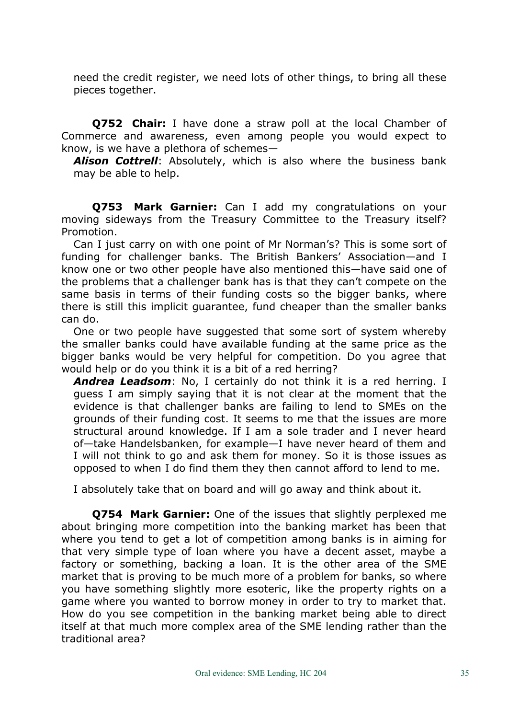need the credit register, we need lots of other things, to bring all these pieces together.

**Q752 Chair:** I have done a straw poll at the local Chamber of Commerce and awareness, even among people you would expect to know, is we have a plethora of schemes—

*Alison Cottrell*: Absolutely, which is also where the business bank may be able to help.

**Q753 Mark Garnier:** Can I add my congratulations on your moving sideways from the Treasury Committee to the Treasury itself? Promotion.

Can I just carry on with one point of Mr Norman's? This is some sort of funding for challenger banks. The British Bankers' Association—and I know one or two other people have also mentioned this—have said one of the problems that a challenger bank has is that they can't compete on the same basis in terms of their funding costs so the bigger banks, where there is still this implicit guarantee, fund cheaper than the smaller banks can do.

One or two people have suggested that some sort of system whereby the smaller banks could have available funding at the same price as the bigger banks would be very helpful for competition. Do you agree that would help or do you think it is a bit of a red herring?

*Andrea Leadsom*: No, I certainly do not think it is a red herring. I guess I am simply saying that it is not clear at the moment that the evidence is that challenger banks are failing to lend to SMEs on the grounds of their funding cost. It seems to me that the issues are more structural around knowledge. If I am a sole trader and I never heard of—take Handelsbanken, for example—I have never heard of them and I will not think to go and ask them for money. So it is those issues as opposed to when I do find them they then cannot afford to lend to me.

I absolutely take that on board and will go away and think about it.

**Q754 Mark Garnier:** One of the issues that slightly perplexed me about bringing more competition into the banking market has been that where you tend to get a lot of competition among banks is in aiming for that very simple type of loan where you have a decent asset, maybe a factory or something, backing a loan. It is the other area of the SME market that is proving to be much more of a problem for banks, so where you have something slightly more esoteric, like the property rights on a game where you wanted to borrow money in order to try to market that. How do you see competition in the banking market being able to direct itself at that much more complex area of the SME lending rather than the traditional area?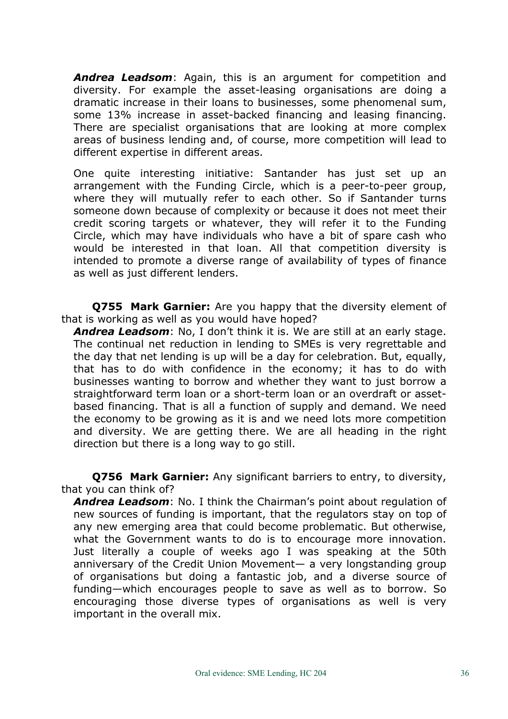*Andrea Leadsom*: Again, this is an argument for competition and diversity. For example the asset-leasing organisations are doing a dramatic increase in their loans to businesses, some phenomenal sum, some 13% increase in asset-backed financing and leasing financing. There are specialist organisations that are looking at more complex areas of business lending and, of course, more competition will lead to different expertise in different areas.

One quite interesting initiative: Santander has just set up an arrangement with the Funding Circle, which is a peer-to-peer group, where they will mutually refer to each other. So if Santander turns someone down because of complexity or because it does not meet their credit scoring targets or whatever, they will refer it to the Funding Circle, which may have individuals who have a bit of spare cash who would be interested in that loan. All that competition diversity is intended to promote a diverse range of availability of types of finance as well as just different lenders.

**Q755 Mark Garnier:** Are you happy that the diversity element of that is working as well as you would have hoped?

*Andrea Leadsom*: No, I don't think it is. We are still at an early stage. The continual net reduction in lending to SMEs is very regrettable and the day that net lending is up will be a day for celebration. But, equally, that has to do with confidence in the economy; it has to do with businesses wanting to borrow and whether they want to just borrow a straightforward term loan or a short-term loan or an overdraft or assetbased financing. That is all a function of supply and demand. We need the economy to be growing as it is and we need lots more competition and diversity. We are getting there. We are all heading in the right direction but there is a long way to go still.

**Q756 Mark Garnier:** Any significant barriers to entry, to diversity, that you can think of?

*Andrea Leadsom*: No. I think the Chairman's point about regulation of new sources of funding is important, that the regulators stay on top of any new emerging area that could become problematic. But otherwise, what the Government wants to do is to encourage more innovation. Just literally a couple of weeks ago I was speaking at the 50th anniversary of the Credit Union Movement— a very longstanding group of organisations but doing a fantastic job, and a diverse source of funding—which encourages people to save as well as to borrow. So encouraging those diverse types of organisations as well is very important in the overall mix.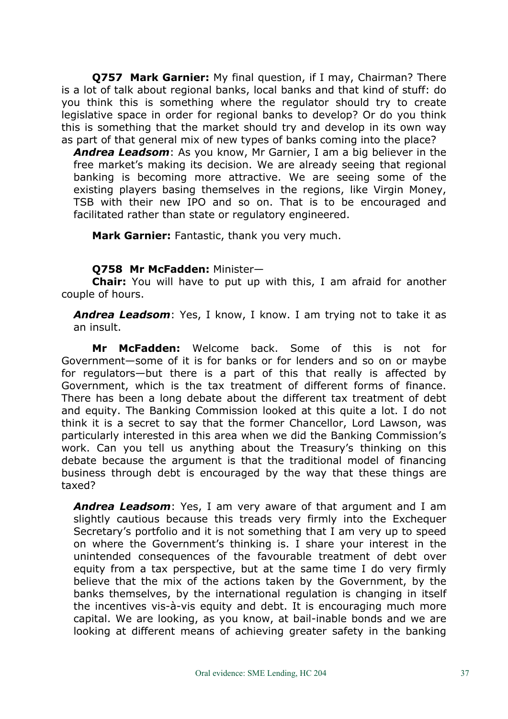**Q757 Mark Garnier:** My final question, if I may, Chairman? There is a lot of talk about regional banks, local banks and that kind of stuff: do you think this is something where the regulator should try to create legislative space in order for regional banks to develop? Or do you think this is something that the market should try and develop in its own way as part of that general mix of new types of banks coming into the place?

*Andrea Leadsom*: As you know, Mr Garnier, I am a big believer in the free market's making its decision. We are already seeing that regional banking is becoming more attractive. We are seeing some of the existing players basing themselves in the regions, like Virgin Money, TSB with their new IPO and so on. That is to be encouraged and facilitated rather than state or regulatory engineered.

**Mark Garnier:** Fantastic, thank you very much.

## **Q758 Mr McFadden:** Minister—

**Chair:** You will have to put up with this, I am afraid for another couple of hours.

*Andrea Leadsom*: Yes, I know, I know. I am trying not to take it as an insult.

**Mr McFadden:** Welcome back. Some of this is not for Government—some of it is for banks or for lenders and so on or maybe for regulators—but there is a part of this that really is affected by Government, which is the tax treatment of different forms of finance. There has been a long debate about the different tax treatment of debt and equity. The Banking Commission looked at this quite a lot. I do not think it is a secret to say that the former Chancellor, Lord Lawson, was particularly interested in this area when we did the Banking Commission's work. Can you tell us anything about the Treasury's thinking on this debate because the argument is that the traditional model of financing business through debt is encouraged by the way that these things are taxed?

*Andrea Leadsom*: Yes, I am very aware of that argument and I am slightly cautious because this treads very firmly into the Exchequer Secretary's portfolio and it is not something that I am very up to speed on where the Government's thinking is. I share your interest in the unintended consequences of the favourable treatment of debt over equity from a tax perspective, but at the same time I do very firmly believe that the mix of the actions taken by the Government, by the banks themselves, by the international regulation is changing in itself the incentives vis-à-vis equity and debt. It is encouraging much more capital. We are looking, as you know, at bail-inable bonds and we are looking at different means of achieving greater safety in the banking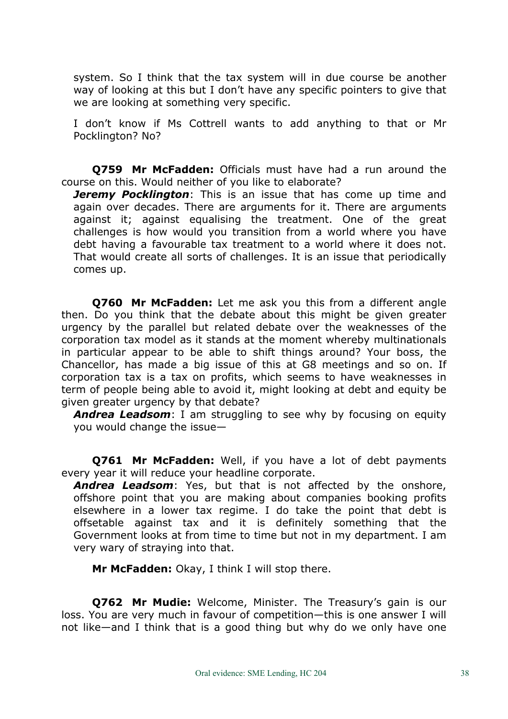system. So I think that the tax system will in due course be another way of looking at this but I don't have any specific pointers to give that we are looking at something very specific.

I don't know if Ms Cottrell wants to add anything to that or Mr Pocklington? No?

**Q759 Mr McFadden:** Officials must have had a run around the course on this. Would neither of you like to elaborate?

*Jeremy Pocklington*: This is an issue that has come up time and again over decades. There are arguments for it. There are arguments against it; against equalising the treatment. One of the great challenges is how would you transition from a world where you have debt having a favourable tax treatment to a world where it does not. That would create all sorts of challenges. It is an issue that periodically comes up.

**Q760 Mr McFadden:** Let me ask you this from a different angle then. Do you think that the debate about this might be given greater urgency by the parallel but related debate over the weaknesses of the corporation tax model as it stands at the moment whereby multinationals in particular appear to be able to shift things around? Your boss, the Chancellor, has made a big issue of this at G8 meetings and so on. If corporation tax is a tax on profits, which seems to have weaknesses in term of people being able to avoid it, might looking at debt and equity be given greater urgency by that debate?

*Andrea Leadsom*: I am struggling to see why by focusing on equity you would change the issue—

**Q761 Mr McFadden:** Well, if you have a lot of debt payments every year it will reduce your headline corporate.

*Andrea Leadsom*: Yes, but that is not affected by the onshore, offshore point that you are making about companies booking profits elsewhere in a lower tax regime. I do take the point that debt is offsetable against tax and it is definitely something that the Government looks at from time to time but not in my department. I am very wary of straying into that.

**Mr McFadden:** Okay, I think I will stop there.

**Q762 Mr Mudie:** Welcome, Minister. The Treasury's gain is our loss. You are very much in favour of competition—this is one answer I will not like—and I think that is a good thing but why do we only have one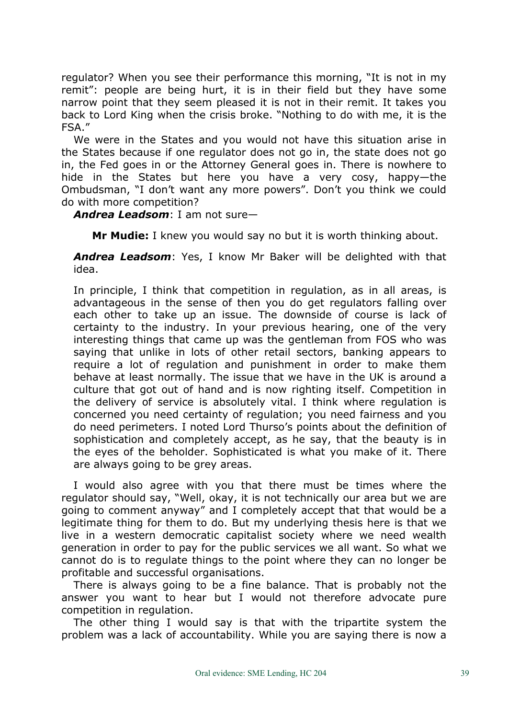regulator? When you see their performance this morning, "It is not in my remit": people are being hurt, it is in their field but they have some narrow point that they seem pleased it is not in their remit. It takes you back to Lord King when the crisis broke. "Nothing to do with me, it is the FSA."

We were in the States and you would not have this situation arise in the States because if one regulator does not go in, the state does not go in, the Fed goes in or the Attorney General goes in. There is nowhere to hide in the States but here you have a very cosy, happy—the Ombudsman, "I don't want any more powers". Don't you think we could do with more competition?

*Andrea Leadsom*: I am not sure—

**Mr Mudie:** I knew you would say no but it is worth thinking about.

*Andrea Leadsom*: Yes, I know Mr Baker will be delighted with that idea.

In principle, I think that competition in regulation, as in all areas, is advantageous in the sense of then you do get regulators falling over each other to take up an issue. The downside of course is lack of certainty to the industry. In your previous hearing, one of the very interesting things that came up was the gentleman from FOS who was saying that unlike in lots of other retail sectors, banking appears to require a lot of regulation and punishment in order to make them behave at least normally. The issue that we have in the UK is around a culture that got out of hand and is now righting itself. Competition in the delivery of service is absolutely vital. I think where regulation is concerned you need certainty of regulation; you need fairness and you do need perimeters. I noted Lord Thurso's points about the definition of sophistication and completely accept, as he say, that the beauty is in the eyes of the beholder. Sophisticated is what you make of it. There are always going to be grey areas.

I would also agree with you that there must be times where the regulator should say, "Well, okay, it is not technically our area but we are going to comment anyway" and I completely accept that that would be a legitimate thing for them to do. But my underlying thesis here is that we live in a western democratic capitalist society where we need wealth generation in order to pay for the public services we all want. So what we cannot do is to regulate things to the point where they can no longer be profitable and successful organisations.

There is always going to be a fine balance. That is probably not the answer you want to hear but I would not therefore advocate pure competition in regulation.

The other thing I would say is that with the tripartite system the problem was a lack of accountability. While you are saying there is now a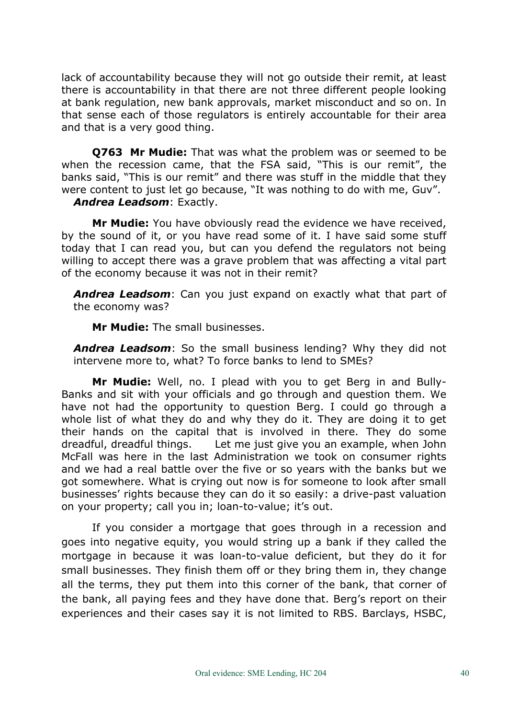lack of accountability because they will not go outside their remit, at least there is accountability in that there are not three different people looking at bank regulation, new bank approvals, market misconduct and so on. In that sense each of those regulators is entirely accountable for their area and that is a very good thing.

**Q763 Mr Mudie:** That was what the problem was or seemed to be when the recession came, that the FSA said, "This is our remit", the banks said, "This is our remit" and there was stuff in the middle that they were content to just let go because, "It was nothing to do with me, Guv". *Andrea Leadsom*: Exactly.

**Mr Mudie:** You have obviously read the evidence we have received, by the sound of it, or you have read some of it. I have said some stuff today that I can read you, but can you defend the regulators not being willing to accept there was a grave problem that was affecting a vital part of the economy because it was not in their remit?

*Andrea Leadsom*: Can you just expand on exactly what that part of the economy was?

**Mr Mudie:** The small businesses.

*Andrea Leadsom*: So the small business lending? Why they did not intervene more to, what? To force banks to lend to SMEs?

**Mr Mudie:** Well, no. I plead with you to get Berg in and Bully-Banks and sit with your officials and go through and question them. We have not had the opportunity to question Berg. I could go through a whole list of what they do and why they do it. They are doing it to get their hands on the capital that is involved in there. They do some dreadful, dreadful things. Let me just give you an example, when John McFall was here in the last Administration we took on consumer rights and we had a real battle over the five or so years with the banks but we got somewhere. What is crying out now is for someone to look after small businesses' rights because they can do it so easily: a drive-past valuation on your property; call you in; loan-to-value; it's out.

If you consider a mortgage that goes through in a recession and goes into negative equity, you would string up a bank if they called the mortgage in because it was loan-to-value deficient, but they do it for small businesses. They finish them off or they bring them in, they change all the terms, they put them into this corner of the bank, that corner of the bank, all paying fees and they have done that. Berg's report on their experiences and their cases say it is not limited to RBS. Barclays, HSBC,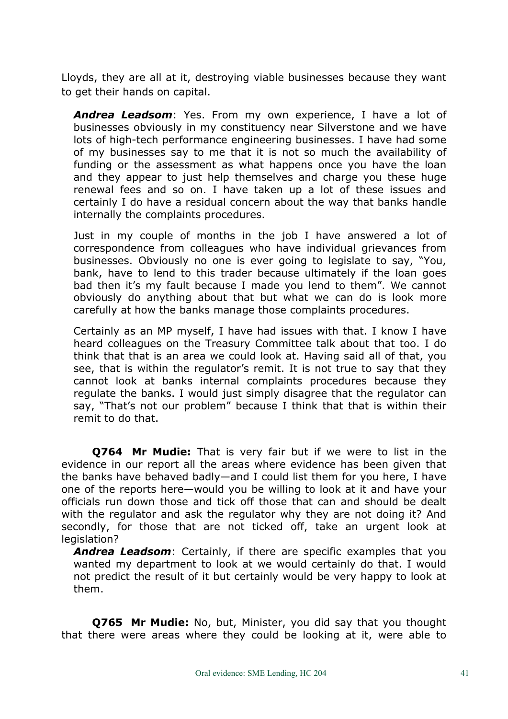Lloyds, they are all at it, destroying viable businesses because they want to get their hands on capital.

*Andrea Leadsom*: Yes. From my own experience, I have a lot of businesses obviously in my constituency near Silverstone and we have lots of high-tech performance engineering businesses. I have had some of my businesses say to me that it is not so much the availability of funding or the assessment as what happens once you have the loan and they appear to just help themselves and charge you these huge renewal fees and so on. I have taken up a lot of these issues and certainly I do have a residual concern about the way that banks handle internally the complaints procedures.

Just in my couple of months in the job I have answered a lot of correspondence from colleagues who have individual grievances from businesses. Obviously no one is ever going to legislate to say, "You, bank, have to lend to this trader because ultimately if the loan goes bad then it's my fault because I made you lend to them". We cannot obviously do anything about that but what we can do is look more carefully at how the banks manage those complaints procedures.

Certainly as an MP myself, I have had issues with that. I know I have heard colleagues on the Treasury Committee talk about that too. I do think that that is an area we could look at. Having said all of that, you see, that is within the regulator's remit. It is not true to say that they cannot look at banks internal complaints procedures because they regulate the banks. I would just simply disagree that the regulator can say, "That's not our problem" because I think that that is within their remit to do that.

**Q764 Mr Mudie:** That is very fair but if we were to list in the evidence in our report all the areas where evidence has been given that the banks have behaved badly—and I could list them for you here, I have one of the reports here—would you be willing to look at it and have your officials run down those and tick off those that can and should be dealt with the regulator and ask the regulator why they are not doing it? And secondly, for those that are not ticked off, take an urgent look at legislation?

*Andrea Leadsom*: Certainly, if there are specific examples that you wanted my department to look at we would certainly do that. I would not predict the result of it but certainly would be very happy to look at them.

**Q765 Mr Mudie:** No, but, Minister, you did say that you thought that there were areas where they could be looking at it, were able to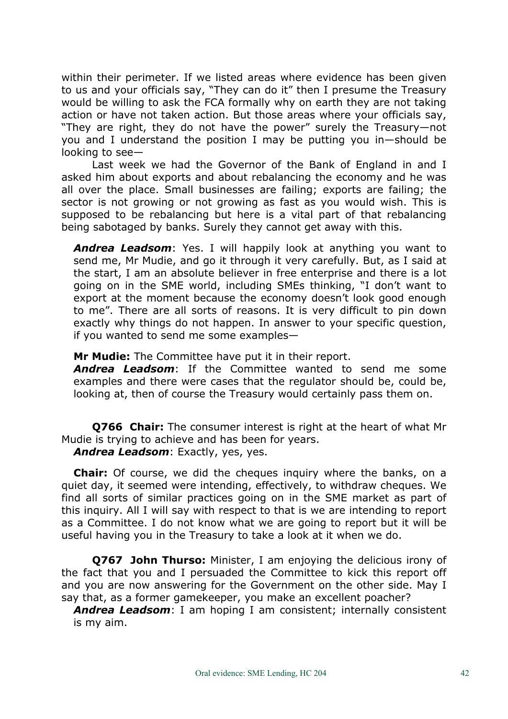within their perimeter. If we listed areas where evidence has been given to us and your officials say, "They can do it" then I presume the Treasury would be willing to ask the FCA formally why on earth they are not taking action or have not taken action. But those areas where your officials say, "They are right, they do not have the power" surely the Treasury—not you and I understand the position I may be putting you in—should be looking to see—

Last week we had the Governor of the Bank of England in and I asked him about exports and about rebalancing the economy and he was all over the place. Small businesses are failing; exports are failing; the sector is not growing or not growing as fast as you would wish. This is supposed to be rebalancing but here is a vital part of that rebalancing being sabotaged by banks. Surely they cannot get away with this.

*Andrea Leadsom*: Yes. I will happily look at anything you want to send me, Mr Mudie, and go it through it very carefully. But, as I said at the start, I am an absolute believer in free enterprise and there is a lot going on in the SME world, including SMEs thinking, "I don't want to export at the moment because the economy doesn't look good enough to me". There are all sorts of reasons. It is very difficult to pin down exactly why things do not happen. In answer to your specific question, if you wanted to send me some examples—

**Mr Mudie:** The Committee have put it in their report.

*Andrea Leadsom*: If the Committee wanted to send me some examples and there were cases that the regulator should be, could be, looking at, then of course the Treasury would certainly pass them on.

**Q766 Chair:** The consumer interest is right at the heart of what Mr Mudie is trying to achieve and has been for years.

*Andrea Leadsom*: Exactly, yes, yes.

**Chair:** Of course, we did the cheques inquiry where the banks, on a quiet day, it seemed were intending, effectively, to withdraw cheques. We find all sorts of similar practices going on in the SME market as part of this inquiry. All I will say with respect to that is we are intending to report as a Committee. I do not know what we are going to report but it will be useful having you in the Treasury to take a look at it when we do.

**Q767 John Thurso:** Minister, I am enjoying the delicious irony of the fact that you and I persuaded the Committee to kick this report off and you are now answering for the Government on the other side. May I say that, as a former gamekeeper, you make an excellent poacher?

*Andrea Leadsom*: I am hoping I am consistent; internally consistent is my aim.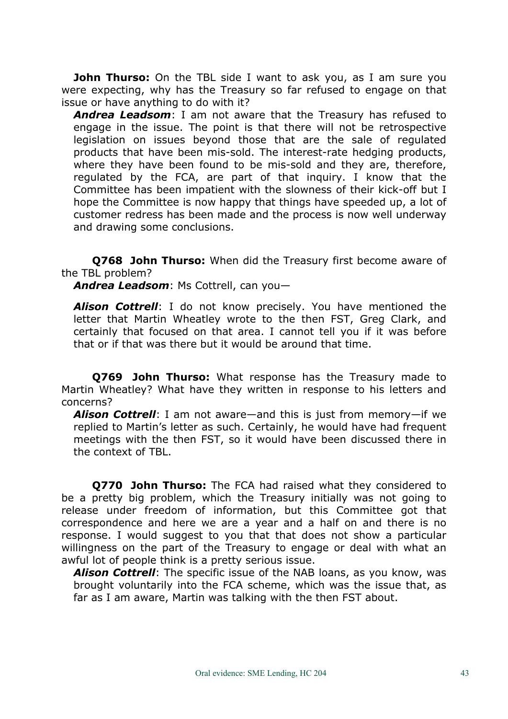**John Thurso:** On the TBL side I want to ask you, as I am sure you were expecting, why has the Treasury so far refused to engage on that issue or have anything to do with it?

*Andrea Leadsom*: I am not aware that the Treasury has refused to engage in the issue. The point is that there will not be retrospective legislation on issues beyond those that are the sale of regulated products that have been mis-sold. The interest-rate hedging products, where they have been found to be mis-sold and they are, therefore, regulated by the FCA, are part of that inquiry. I know that the Committee has been impatient with the slowness of their kick-off but I hope the Committee is now happy that things have speeded up, a lot of customer redress has been made and the process is now well underway and drawing some conclusions.

**Q768 John Thurso:** When did the Treasury first become aware of the TBL problem?

*Andrea Leadsom*: Ms Cottrell, can you—

*Alison Cottrell*: I do not know precisely. You have mentioned the letter that Martin Wheatley wrote to the then FST, Greg Clark, and certainly that focused on that area. I cannot tell you if it was before that or if that was there but it would be around that time.

**Q769 John Thurso:** What response has the Treasury made to Martin Wheatley? What have they written in response to his letters and concerns?

*Alison Cottrell*: I am not aware—and this is just from memory—if we replied to Martin's letter as such. Certainly, he would have had frequent meetings with the then FST, so it would have been discussed there in the context of TBL.

**Q770 John Thurso:** The FCA had raised what they considered to be a pretty big problem, which the Treasury initially was not going to release under freedom of information, but this Committee got that correspondence and here we are a year and a half on and there is no response. I would suggest to you that that does not show a particular willingness on the part of the Treasury to engage or deal with what an awful lot of people think is a pretty serious issue.

*Alison Cottrell*: The specific issue of the NAB loans, as you know, was brought voluntarily into the FCA scheme, which was the issue that, as far as I am aware, Martin was talking with the then FST about.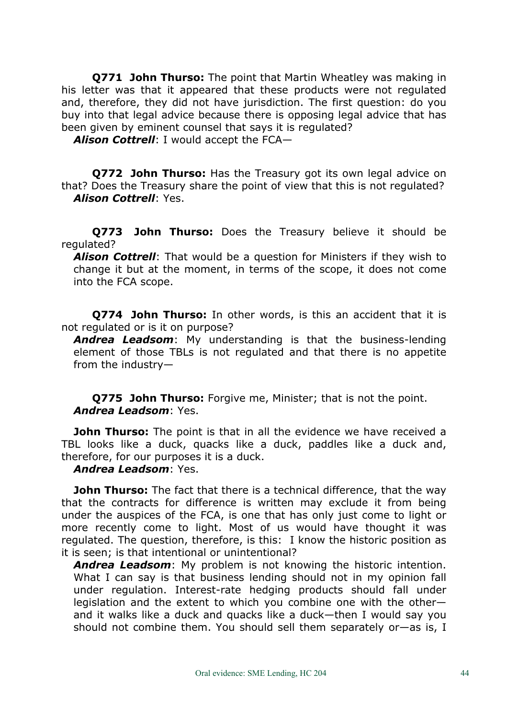**Q771 John Thurso:** The point that Martin Wheatley was making in his letter was that it appeared that these products were not regulated and, therefore, they did not have jurisdiction. The first question: do you buy into that legal advice because there is opposing legal advice that has been given by eminent counsel that says it is regulated?

*Alison Cottrell*: I would accept the FCA—

**Q772 John Thurso:** Has the Treasury got its own legal advice on that? Does the Treasury share the point of view that this is not regulated? *Alison Cottrell*: Yes.

**Q773 John Thurso:** Does the Treasury believe it should be regulated?

*Alison Cottrell*: That would be a question for Ministers if they wish to change it but at the moment, in terms of the scope, it does not come into the FCA scope.

**Q774 John Thurso:** In other words, is this an accident that it is not regulated or is it on purpose?

*Andrea Leadsom*: My understanding is that the business-lending element of those TBLs is not regulated and that there is no appetite from the industry—

**Q775 John Thurso:** Forgive me, Minister; that is not the point. *Andrea Leadsom*: Yes.

**John Thurso:** The point is that in all the evidence we have received a TBL looks like a duck, quacks like a duck, paddles like a duck and, therefore, for our purposes it is a duck.

## *Andrea Leadsom*: Yes.

**John Thurso:** The fact that there is a technical difference, that the way that the contracts for difference is written may exclude it from being under the auspices of the FCA, is one that has only just come to light or more recently come to light. Most of us would have thought it was regulated. The question, therefore, is this: I know the historic position as it is seen; is that intentional or unintentional?

*Andrea Leadsom*: My problem is not knowing the historic intention. What I can say is that business lending should not in my opinion fall under regulation. Interest-rate hedging products should fall under legislation and the extent to which you combine one with the other and it walks like a duck and quacks like a duck—then I would say you should not combine them. You should sell them separately or—as is, I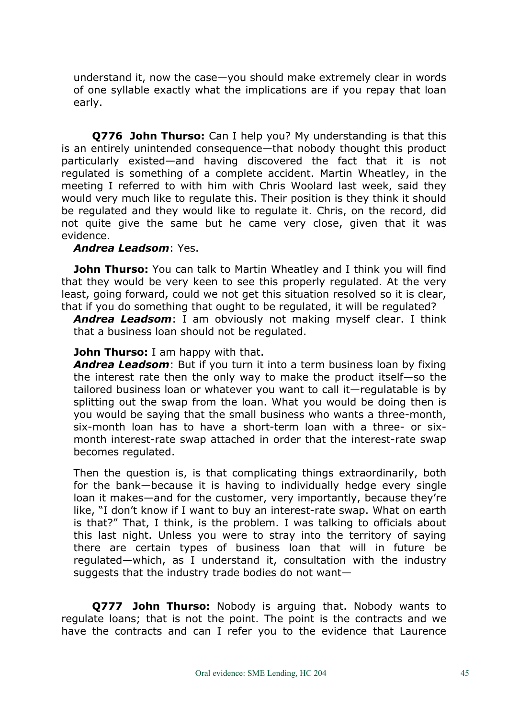understand it, now the case—you should make extremely clear in words of one syllable exactly what the implications are if you repay that loan early.

**Q776 John Thurso:** Can I help you? My understanding is that this is an entirely unintended consequence—that nobody thought this product particularly existed—and having discovered the fact that it is not regulated is something of a complete accident. Martin Wheatley, in the meeting I referred to with him with Chris Woolard last week, said they would very much like to regulate this. Their position is they think it should be regulated and they would like to regulate it. Chris, on the record, did not quite give the same but he came very close, given that it was evidence.

## *Andrea Leadsom*: Yes.

**John Thurso:** You can talk to Martin Wheatley and I think you will find that they would be very keen to see this properly regulated. At the very least, going forward, could we not get this situation resolved so it is clear, that if you do something that ought to be regulated, it will be regulated?

*Andrea Leadsom*: I am obviously not making myself clear. I think that a business loan should not be regulated.

#### **John Thurso:** I am happy with that.

*Andrea Leadsom*: But if you turn it into a term business loan by fixing the interest rate then the only way to make the product itself—so the tailored business loan or whatever you want to call it—regulatable is by splitting out the swap from the loan. What you would be doing then is you would be saying that the small business who wants a three-month, six-month loan has to have a short-term loan with a three- or sixmonth interest-rate swap attached in order that the interest-rate swap becomes regulated.

Then the question is, is that complicating things extraordinarily, both for the bank—because it is having to individually hedge every single loan it makes—and for the customer, very importantly, because they're like, "I don't know if I want to buy an interest-rate swap. What on earth is that?" That, I think, is the problem. I was talking to officials about this last night. Unless you were to stray into the territory of saying there are certain types of business loan that will in future be regulated—which, as I understand it, consultation with the industry suggests that the industry trade bodies do not want—

**Q777 John Thurso:** Nobody is arguing that. Nobody wants to regulate loans; that is not the point. The point is the contracts and we have the contracts and can I refer you to the evidence that Laurence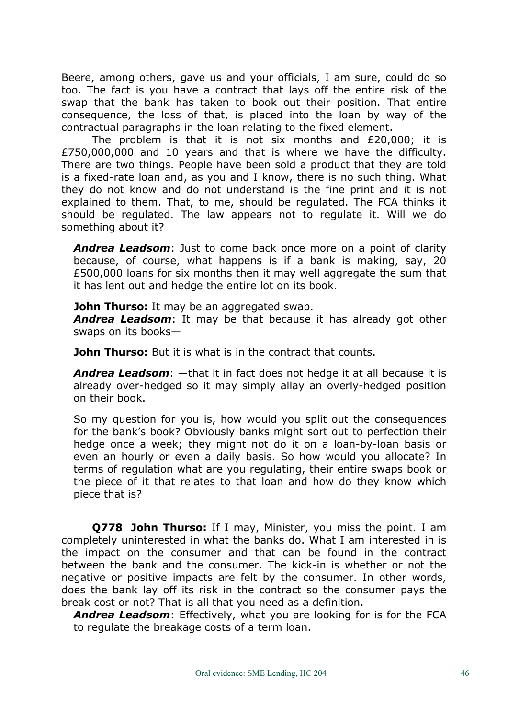Beere, among others, gave us and your officials, I am sure, could do so too. The fact is you have a contract that lays off the entire risk of the swap that the bank has taken to book out their position. That entire consequence, the loss of that, is placed into the loan by way of the contractual paragraphs in the loan relating to the fixed element.

The problem is that it is not six months and £20,000; it is £750,000,000 and 10 years and that is where we have the difficulty. There are two things. People have been sold a product that they are told is a fixed-rate loan and, as you and I know, there is no such thing. What they do not know and do not understand is the fine print and it is not explained to them. That, to me, should be regulated. The FCA thinks it should be regulated. The law appears not to regulate it. Will we do something about it?

*Andrea Leadsom*: Just to come back once more on a point of clarity because, of course, what happens is if a bank is making, say, 20 £500,000 loans for six months then it may well aggregate the sum that it has lent out and hedge the entire lot on its book.

**John Thurso:** It may be an aggregated swap.

*Andrea Leadsom*: It may be that because it has already got other swaps on its books—

**John Thurso:** But it is what is in the contract that counts.

*Andrea Leadsom*: —that it in fact does not hedge it at all because it is already over-hedged so it may simply allay an overly-hedged position on their book.

So my question for you is, how would you split out the consequences for the bank's book? Obviously banks might sort out to perfection their hedge once a week; they might not do it on a loan-by-loan basis or even an hourly or even a daily basis. So how would you allocate? In terms of regulation what are you regulating, their entire swaps book or the piece of it that relates to that loan and how do they know which piece that is?

**Q778 John Thurso:** If I may, Minister, you miss the point. I am completely uninterested in what the banks do. What I am interested in is the impact on the consumer and that can be found in the contract between the bank and the consumer. The kick-in is whether or not the negative or positive impacts are felt by the consumer. In other words, does the bank lay off its risk in the contract so the consumer pays the break cost or not? That is all that you need as a definition.

*Andrea Leadsom*: Effectively, what you are looking for is for the FCA to regulate the breakage costs of a term loan.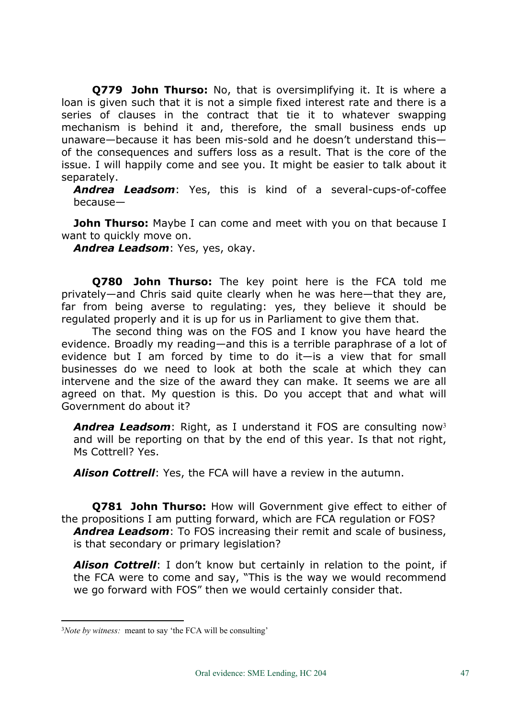**Q779 John Thurso:** No, that is oversimplifying it. It is where a loan is given such that it is not a simple fixed interest rate and there is a series of clauses in the contract that tie it to whatever swapping mechanism is behind it and, therefore, the small business ends up unaware—because it has been mis-sold and he doesn't understand this of the consequences and suffers loss as a result. That is the core of the issue. I will happily come and see you. It might be easier to talk about it separately.

*Andrea Leadsom*: Yes, this is kind of a several-cups-of-coffee because—

**John Thurso:** Maybe I can come and meet with you on that because I want to quickly move on.

*Andrea Leadsom*: Yes, yes, okay.

**Q780 John Thurso:** The key point here is the FCA told me privately—and Chris said quite clearly when he was here—that they are, far from being averse to regulating: yes, they believe it should be regulated properly and it is up for us in Parliament to give them that.

The second thing was on the FOS and I know you have heard the evidence. Broadly my reading—and this is a terrible paraphrase of a lot of evidence but I am forced by time to do it—is a view that for small businesses do we need to look at both the scale at which they can intervene and the size of the award they can make. It seems we are all agreed on that. My question is this. Do you accept that and what will Government do about it?

*Andrea Leadsom*: Right, as I understand it FOS are consulting now<sup>3</sup> and will be reporting on that by the end of this year. Is that not right, Ms Cottrell? Yes.

*Alison Cottrell*: Yes, the FCA will have a review in the autumn.

**Q781 John Thurso:** How will Government give effect to either of the propositions I am putting forward, which are FCA regulation or FOS? *Andrea Leadsom*: To FOS increasing their remit and scale of business, is that secondary or primary legislation?

*Alison Cottrell*: I don't know but certainly in relation to the point, if the FCA were to come and say, "This is the way we would recommend we go forward with FOS" then we would certainly consider that.

<sup>3</sup>*Note by witness:* meant to say 'the FCA will be consulting'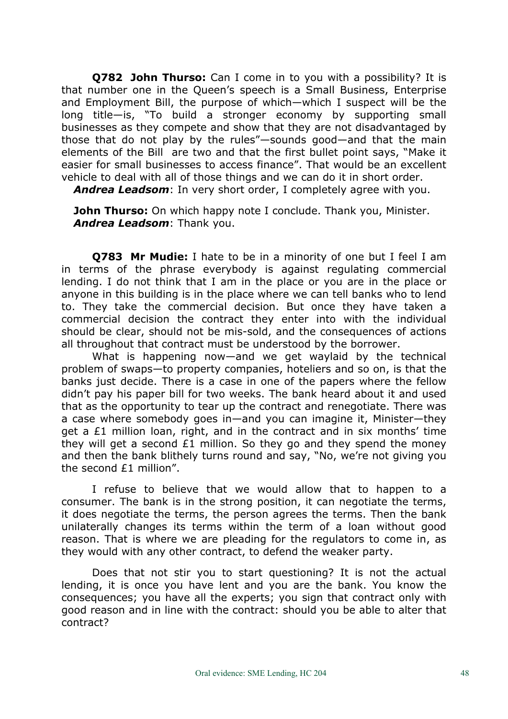**Q782 John Thurso:** Can I come in to you with a possibility? It is that number one in the Queen's speech is a Small Business, Enterprise and Employment Bill, the purpose of which—which I suspect will be the long title—is, "To build a stronger economy by supporting small businesses as they compete and show that they are not disadvantaged by those that do not play by the rules"—sounds good—and that the main elements of the Bill are two and that the first bullet point says, "Make it easier for small businesses to access finance". That would be an excellent vehicle to deal with all of those things and we can do it in short order.

*Andrea Leadsom*: In very short order, I completely agree with you.

**John Thurso:** On which happy note I conclude. Thank you, Minister. *Andrea Leadsom*: Thank you.

**Q783 Mr Mudie:** I hate to be in a minority of one but I feel I am in terms of the phrase everybody is against regulating commercial lending. I do not think that I am in the place or you are in the place or anyone in this building is in the place where we can tell banks who to lend to. They take the commercial decision. But once they have taken a commercial decision the contract they enter into with the individual should be clear, should not be mis-sold, and the consequences of actions all throughout that contract must be understood by the borrower.

What is happening now—and we get waylaid by the technical problem of swaps—to property companies, hoteliers and so on, is that the banks just decide. There is a case in one of the papers where the fellow didn't pay his paper bill for two weeks. The bank heard about it and used that as the opportunity to tear up the contract and renegotiate. There was a case where somebody goes in—and you can imagine it, Minister—they get a £1 million loan, right, and in the contract and in six months' time they will get a second £1 million. So they go and they spend the money and then the bank blithely turns round and say, "No, we're not giving you the second £1 million".

I refuse to believe that we would allow that to happen to a consumer. The bank is in the strong position, it can negotiate the terms, it does negotiate the terms, the person agrees the terms. Then the bank unilaterally changes its terms within the term of a loan without good reason. That is where we are pleading for the regulators to come in, as they would with any other contract, to defend the weaker party.

Does that not stir you to start questioning? It is not the actual lending, it is once you have lent and you are the bank. You know the consequences; you have all the experts; you sign that contract only with good reason and in line with the contract: should you be able to alter that contract?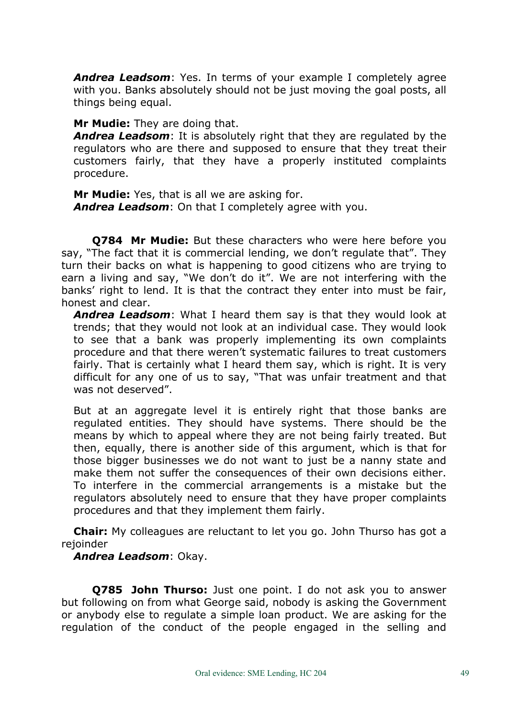*Andrea Leadsom*: Yes. In terms of your example I completely agree with you. Banks absolutely should not be just moving the goal posts, all things being equal.

**Mr Mudie:** They are doing that.

*Andrea Leadsom*: It is absolutely right that they are regulated by the regulators who are there and supposed to ensure that they treat their customers fairly, that they have a properly instituted complaints procedure.

**Mr Mudie:** Yes, that is all we are asking for. *Andrea Leadsom*: On that I completely agree with you.

**Q784 Mr Mudie:** But these characters who were here before you say, "The fact that it is commercial lending, we don't regulate that". They turn their backs on what is happening to good citizens who are trying to earn a living and say, "We don't do it". We are not interfering with the banks' right to lend. It is that the contract they enter into must be fair, honest and clear.

*Andrea Leadsom*: What I heard them say is that they would look at trends; that they would not look at an individual case. They would look to see that a bank was properly implementing its own complaints procedure and that there weren't systematic failures to treat customers fairly. That is certainly what I heard them say, which is right. It is very difficult for any one of us to say, "That was unfair treatment and that was not deserved".

But at an aggregate level it is entirely right that those banks are regulated entities. They should have systems. There should be the means by which to appeal where they are not being fairly treated. But then, equally, there is another side of this argument, which is that for those bigger businesses we do not want to just be a nanny state and make them not suffer the consequences of their own decisions either. To interfere in the commercial arrangements is a mistake but the regulators absolutely need to ensure that they have proper complaints procedures and that they implement them fairly.

**Chair:** My colleagues are reluctant to let you go. John Thurso has got a rejoinder

## *Andrea Leadsom*: Okay.

**Q785 John Thurso:** Just one point. I do not ask you to answer but following on from what George said, nobody is asking the Government or anybody else to regulate a simple loan product. We are asking for the regulation of the conduct of the people engaged in the selling and